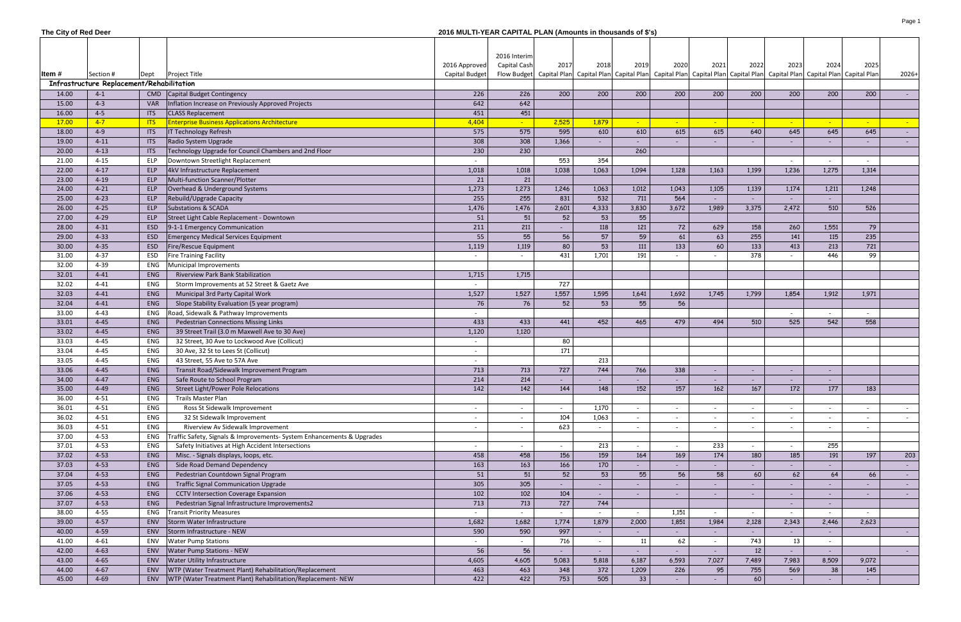| The City of Red Deer |                                           |            |                                                                        | 2016 MULTI-YEAR CAPITAL PLAN (Amounts in thousands of \$'s) |                 |                                                                                                                                                                                                                               |                          |                                 |                                 |                                |                                 |                                 |                          |                          |            |
|----------------------|-------------------------------------------|------------|------------------------------------------------------------------------|-------------------------------------------------------------|-----------------|-------------------------------------------------------------------------------------------------------------------------------------------------------------------------------------------------------------------------------|--------------------------|---------------------------------|---------------------------------|--------------------------------|---------------------------------|---------------------------------|--------------------------|--------------------------|------------|
|                      |                                           |            |                                                                        |                                                             |                 |                                                                                                                                                                                                                               |                          |                                 |                                 |                                |                                 |                                 |                          |                          |            |
|                      |                                           |            |                                                                        |                                                             | 2016 Interim    |                                                                                                                                                                                                                               |                          |                                 |                                 |                                |                                 |                                 |                          |                          |            |
|                      |                                           |            |                                                                        | 2016 Approved                                               | Capital Cash    | 2017                                                                                                                                                                                                                          | 2018                     | 2019                            | 2020                            | 2021                           | 2022                            | 2023                            | 2024                     | 2025                     |            |
| Item #               | Section #                                 | Dept       | <b>Project Title</b>                                                   | Capital Budget                                              |                 | Flow Budget   Capital Plan   Capital Plan   Capital Plan   Capital Plan   Capital Plan   Capital Plan   Capital Plan   Capital Plan   Capital Plan   Capital Plan   Capital Plan   Capital Plan   Capital Plan   Capital Plan |                          |                                 |                                 |                                |                                 |                                 |                          |                          | $2026+$    |
|                      | Infrastructure Replacement/Rehabilitation |            |                                                                        |                                                             |                 |                                                                                                                                                                                                                               |                          |                                 |                                 |                                |                                 |                                 |                          |                          |            |
| 14.00                | $4 - 1$                                   |            | CMD Capital Budget Contingency                                         | 226                                                         | 226             | 200                                                                                                                                                                                                                           | 200                      | 200                             | 200                             | 200                            | 200                             | 200                             | 200                      | 200                      |            |
| 15.00                | $4 - 3$                                   | <b>VAR</b> | Inflation Increase on Previously Approved Projects                     | 642                                                         | 642             |                                                                                                                                                                                                                               |                          |                                 |                                 |                                |                                 |                                 |                          |                          |            |
| 16.00                | $4 - 5$                                   | <b>ITS</b> | <b>CLASS Replacement</b>                                               | 451                                                         | 451             |                                                                                                                                                                                                                               |                          |                                 |                                 |                                |                                 |                                 |                          |                          |            |
| 17.00                | $4 - 7$                                   | <b>ITS</b> | <b>Enterprise Business Applications Architecture</b>                   | 4,404                                                       | $\sim$ $^{-1}$  | 2,525                                                                                                                                                                                                                         | 1,879                    | $\equiv$                        | $\mathbb{Z}^+$                  | $\overline{\phantom{a}}$       | $\sim$                          |                                 | $\sim$                   | $\sim$                   | $\sim$     |
| 18.00                | $4 - 9$                                   | <b>ITS</b> | IT Technology Refresh                                                  | 575                                                         | 575             | 595                                                                                                                                                                                                                           | 610                      | 610                             | 615                             | 615                            | 640                             | 645                             | 645                      | 645                      |            |
| 19.00                | $4 - 11$                                  | <b>ITS</b> | Radio System Upgrade                                                   | 308                                                         | 308             | 1,366                                                                                                                                                                                                                         |                          |                                 |                                 |                                |                                 |                                 |                          |                          |            |
| 20.00                | $4 - 13$                                  | <b>ITS</b> | Technology Upgrade for Council Chambers and 2nd Floor                  | 230                                                         | 230             |                                                                                                                                                                                                                               |                          | 260                             |                                 |                                |                                 |                                 |                          |                          |            |
| 21.00                | $4 - 15$                                  | ELP        | Downtown Streetlight Replacement                                       |                                                             |                 | 553                                                                                                                                                                                                                           | 354                      |                                 |                                 |                                |                                 |                                 |                          | $\overline{\phantom{a}}$ |            |
| 22.00                | $4-17$                                    | ELP        | 4kV Infrastructure Replacement                                         | 1,018                                                       | 1,018           | 1,038                                                                                                                                                                                                                         | 1,063                    | 1,094                           | 1,128                           | 1,163                          | 1,199                           | 1,236                           | 1,275                    | 1,314                    |            |
| 23.00                | $4 - 19$                                  | ELP        | Multi-function Scanner/Plotter                                         | 21                                                          | 21              |                                                                                                                                                                                                                               |                          |                                 |                                 |                                |                                 |                                 |                          |                          |            |
| 24.00                | $4 - 21$                                  | ELP        | Overhead & Underground Systems                                         | 1,273                                                       | 1,273           | 1,246                                                                                                                                                                                                                         | 1,063                    | 1,012                           | 1,043                           | 1,105                          | 1,139                           | 1,174                           | 1,211                    | 1,248                    |            |
| 25.00                | $4 - 23$                                  | ELP        | Rebuild/Upgrade Capacity                                               | 255                                                         | 255             | 831                                                                                                                                                                                                                           | 532                      | 711                             | 564                             |                                |                                 |                                 |                          |                          |            |
| 26.00                | $4 - 25$                                  | ELP        | Substations & SCADA                                                    | 1,476                                                       | 1,476           | 2,601                                                                                                                                                                                                                         | 4,333                    | 3,830                           | 3,672                           | 1,989                          | 3,375                           | 2,472                           | 510                      | 526                      |            |
| 27.00                | $4 - 29$                                  | ELP        | Street Light Cable Replacement - Downtown                              | 51                                                          | 51              | 52                                                                                                                                                                                                                            | 53                       | 55                              |                                 |                                |                                 |                                 |                          |                          |            |
| 28.00                | $4 - 31$                                  | <b>ESD</b> | 9-1-1 Emergency Communication                                          | 211                                                         | 211             | $\overline{\phantom{a}}$                                                                                                                                                                                                      | 118                      | 121                             | 72                              | 629                            | 158                             | 260                             | 1,551                    | 79                       |            |
| 29.00                | $4 - 33$                                  | <b>ESD</b> | Emergency Medical Services Equipment                                   | 55                                                          | 55              | 56                                                                                                                                                                                                                            | 57                       | 59                              | 61                              | 63                             | 255                             | 141                             | 115                      | 235                      |            |
| 30.00                | $4 - 35$                                  | <b>ESD</b> | Fire/Rescue Equipment                                                  | 1,119                                                       | 1,119           | 80                                                                                                                                                                                                                            | 53                       | 111                             | 133                             | 60                             | 133                             | 413                             | 213                      | 721                      |            |
| 31.00                | $4 - 37$                                  | ESD        | <b>Fire Training Facility</b>                                          |                                                             |                 | 431                                                                                                                                                                                                                           | 1,701                    | 191                             |                                 |                                | 378                             |                                 | 446                      | 99                       |            |
| 32.00                | 4-39                                      | <b>ENG</b> | Municipal Improvements                                                 |                                                             |                 |                                                                                                                                                                                                                               |                          |                                 |                                 |                                |                                 |                                 |                          |                          |            |
| 32.01                | $4 - 41$                                  | ENG        | Riverview Park Bank Stabilization                                      | 1,715                                                       | 1,715           |                                                                                                                                                                                                                               |                          |                                 |                                 |                                |                                 |                                 |                          |                          |            |
| 32.02                | $4 - 41$                                  | ENG        | Storm Improvements at 52 Street & Gaetz Ave                            |                                                             |                 | 727                                                                                                                                                                                                                           |                          |                                 |                                 |                                |                                 |                                 |                          |                          |            |
| 32.03                | $4 - 41$                                  | ENG        | Municipal 3rd Party Capital Work                                       | 1,527                                                       | 1,527           | 1,557                                                                                                                                                                                                                         | 1,595                    | 1,641                           | 1,692                           | 1,745                          | 1,799                           | 1,854                           | 1,912                    | 1,971                    |            |
| 32.04                | $4 - 41$                                  | ENG        | Slope Stability Evaluation (5 year program)                            | 76                                                          | 76              | 52                                                                                                                                                                                                                            | 53                       | 55                              | 56                              |                                |                                 |                                 |                          |                          |            |
| 33.00                | $4 - 43$                                  | ENG        | Road, Sidewalk & Pathway Improvements                                  |                                                             |                 |                                                                                                                                                                                                                               |                          |                                 |                                 |                                |                                 | $\overline{\phantom{0}}$        |                          | $\overline{\phantom{a}}$ |            |
| 33.01                | $4 - 45$                                  | ENG        | <b>Pedestrian Connections Missing Links</b>                            | 433                                                         | 433             | 441                                                                                                                                                                                                                           | 452                      | 465                             | 479                             | 494                            | 510                             | 525                             | 542                      | 558                      |            |
| 33.02                | $4 - 45$                                  | ENG        | 39 Street Trail (3.0 m Maxwell Ave to 30 Ave)                          | 1,120                                                       | 1,120           |                                                                                                                                                                                                                               |                          |                                 |                                 |                                |                                 |                                 |                          |                          |            |
| 33.03                | $4 - 45$                                  | ENG        | 32 Street, 30 Ave to Lockwood Ave (Collicut)                           | $\sim$                                                      |                 | 80                                                                                                                                                                                                                            |                          |                                 |                                 |                                |                                 |                                 |                          |                          |            |
| 33.04                | $4 - 45$                                  | ENG        | 30 Ave, 32 St to Lees St (Collicut)                                    | $\sim$                                                      |                 | 171                                                                                                                                                                                                                           |                          |                                 |                                 |                                |                                 |                                 |                          |                          |            |
| 33.05                | $4 - 45$                                  | ENG        | 43 Street, 55 Ave to 57A Ave                                           |                                                             |                 |                                                                                                                                                                                                                               | 213                      |                                 |                                 |                                |                                 |                                 |                          |                          |            |
| 33.06                | $4 - 45$                                  | <b>ENG</b> | Transit Road/Sidewalk Improvement Program                              | 713                                                         | 713             | 727                                                                                                                                                                                                                           | 744                      | 766                             | 338                             | $\overline{\phantom{a}}$       |                                 |                                 |                          |                          |            |
| 34.00                |                                           | ENG        |                                                                        | 214                                                         | 214             |                                                                                                                                                                                                                               |                          |                                 |                                 |                                |                                 |                                 |                          |                          |            |
| 35.00                | 4-47<br>$4 - 49$                          | ENG        | Safe Route to School Program<br>Street Light/Power Pole Relocations    | 142                                                         | $\frac{142}{ }$ | 144                                                                                                                                                                                                                           | 148                      | 152                             | ۰.<br>157                       | 162                            | 167                             | 172                             | 177                      | 183                      |            |
| 36.00                | $4 - 51$                                  | ENG        | Trails Master Plan                                                     |                                                             |                 |                                                                                                                                                                                                                               |                          |                                 |                                 |                                |                                 |                                 |                          |                          |            |
|                      | $4 - 51$                                  | ENG        | Ross St Sidewalk Improvement                                           |                                                             |                 |                                                                                                                                                                                                                               | 1,170                    |                                 |                                 |                                |                                 |                                 |                          |                          |            |
| 36.01<br>36.02       | $4 - 51$                                  | ENG        | 32 St Sidewalk Improvement                                             | $\sim$                                                      |                 | $\sim$<br>104                                                                                                                                                                                                                 | 1,063                    | $\overline{\phantom{a}}$        | $\overline{\phantom{a}}$        | $\overline{\phantom{a}}$       | $\overline{\phantom{a}}$        | $\overline{\phantom{a}}$        | $\sim$                   | $\sim$                   |            |
| 36.03                | $4 - 51$                                  | ENG        | Riverview Av Sidewalk Improvement                                      | $\sim$                                                      |                 | 623                                                                                                                                                                                                                           |                          | $\overline{\phantom{0}}$        | $\sim$                          | $\overline{\phantom{a}}$       | $\overline{\phantom{a}}$        | $\overline{\phantom{a}}$        | $\sim$                   | $\sim$                   | $\sim$     |
|                      |                                           | ENG        |                                                                        | $\sim$                                                      |                 |                                                                                                                                                                                                                               | $\overline{\phantom{a}}$ | $\overline{\phantom{a}}$        | $\sim$                          | $\overline{\phantom{a}}$       | $\overline{\phantom{a}}$        | $\overline{\phantom{a}}$        | $\sim$                   | $\sim$                   |            |
| 37.00                | $4 - 53$                                  | ENG        | Traffic Safety, Signals & Improvements- System Enhancements & Upgrades |                                                             |                 |                                                                                                                                                                                                                               |                          |                                 |                                 |                                |                                 |                                 | 255                      |                          |            |
| 37.01<br>37.02       | $4 - 53$<br>$4 - 53$                      | ENG        | Safety Initiatives at High Accident Intersections                      | $\sim$<br>458                                               | 458             | $\overline{\phantom{a}}$<br>156                                                                                                                                                                                               | 213<br>159               | $\overline{\phantom{0}}$<br>164 | $\overline{\phantom{a}}$<br>169 | 233<br>174                     | $\overline{\phantom{a}}$<br>180 | $\overline{\phantom{a}}$<br>185 | 191                      | 197                      |            |
|                      |                                           |            | Misc. - Signals displays, loops, etc.                                  |                                                             |                 |                                                                                                                                                                                                                               |                          |                                 |                                 |                                |                                 |                                 |                          |                          | 203        |
| 37.03<br>37.04       | $4 - 53$<br>$4 - 53$                      | ENG        | Side Road Demand Dependency<br>Pedestrian Countdown Signal Program     | 163                                                         | 163<br>51       | 166<br>52                                                                                                                                                                                                                     | 170<br>53                | $\overline{\phantom{a}}$<br>55  | $\sim$                          | $\overline{\phantom{a}}$<br>58 | $\sim$                          | $\sim$                          | $\sim$                   |                          | $\sim$ $-$ |
| 37.05                | $4 - 53$                                  | ENG        |                                                                        | 51<br>305                                                   | 305             |                                                                                                                                                                                                                               |                          |                                 | 56                              |                                | 60                              | 62                              | 64                       | 66                       | $\sim 100$ |
|                      |                                           | ENG        | <b>Traffic Signal Communication Upgrade</b>                            |                                                             |                 | $\sim$                                                                                                                                                                                                                        |                          |                                 | $\sim$                          | $\overline{\phantom{a}}$       |                                 |                                 | $\overline{\phantom{a}}$ | $\overline{\phantom{a}}$ | $\sim 100$ |
| 37.06                | $4 - 53$                                  | ENG        | <b>CCTV Intersection Coverage Expansion</b>                            | 102                                                         | 102             | 104                                                                                                                                                                                                                           |                          |                                 | $\sim$                          | $\overline{\phantom{a}}$       |                                 |                                 |                          | $\overline{\phantom{a}}$ | $\sim 100$ |
| 37.07                | $4 - 53$                                  | ENG        | Pedestrian Signal Infrastructure Improvements2                         | 713                                                         | 713             | 727                                                                                                                                                                                                                           | 744                      |                                 |                                 |                                |                                 | $\overline{\phantom{0}}$        | $\sim$                   |                          |            |
| 38.00                | $4 - 55$                                  | ENG        | <b>Transit Priority Measures</b>                                       | $\sim$                                                      | $\sim$          | $\sim$                                                                                                                                                                                                                        |                          | $\overline{\phantom{0}}$        | 1,151                           | $\sim$                         | $\sim$                          | $\overline{\phantom{0}}$        | $\sim$                   | $\sim$                   |            |
| 39.00                | $4 - 57$                                  | ENV        | Storm Water Infrastructure                                             | 1,682                                                       | 1,682           | 1,774                                                                                                                                                                                                                         | 1,879                    | 2,000                           | 1,851                           | 1,984                          | 2,128                           | 2,343                           | 2,446                    | 2,623                    |            |
| 40.00                | $4 - 59$                                  | ENV        | Storm Infrastructure - NEW                                             | 590                                                         | 590             | 997                                                                                                                                                                                                                           | $\overline{\phantom{a}}$ | $\overline{\phantom{a}}$        | $\omega_{\rm{eff}}$             | $\blacksquare$                 | $\sim$                          | $\mathcal{L}_{\mathcal{A}}$     | $\sim$                   |                          | $\sim 100$ |
| 41.00                | $4 - 61$                                  | ENV        | <b>Water Pump Stations</b>                                             | $\sim$                                                      | $\sim$          | 716                                                                                                                                                                                                                           |                          | 11                              | 62                              | $\overline{\phantom{a}}$       | 743                             | 13                              | $\sim$                   |                          |            |
| 42.00                | $4 - 63$                                  | ENV        | <b>Water Pump Stations - NEW</b>                                       | 56                                                          | 56              | $\sim$                                                                                                                                                                                                                        | $\sim$                   | $\sim$                          | $\sim$                          | $\blacksquare$                 | $12\,$                          | $\blacksquare$                  | $\sim$                   |                          | $\sim$ $-$ |
| 43.00                | $4 - 65$                                  | ENV        | <b>Water Utility Infrastructure</b>                                    | 4,605                                                       | 4,605           | 5,083                                                                                                                                                                                                                         | 5,818                    | 6,187                           | 6,593                           | 7,027                          | 7,489                           | 7,983                           | 8,509                    | 9,072                    |            |
| 44.00                | $4 - 67$                                  | ENV        | WTP (Water Treatment Plant) Rehabilitation/Replacement                 | 463                                                         | 463             | 348                                                                                                                                                                                                                           | 372                      | 1,209                           | 226                             | 95                             | 755                             | 569                             | 38                       | 145                      |            |
| 45.00                | $4 - 69$                                  |            | ENV   WTP (Water Treatment Plant) Rehabilitation/Replacement- NEW      | 422                                                         | 422             | 753                                                                                                                                                                                                                           | 505                      | 33                              | $\sim$                          |                                | 60                              | $\overline{\phantom{a}}$        |                          |                          |            |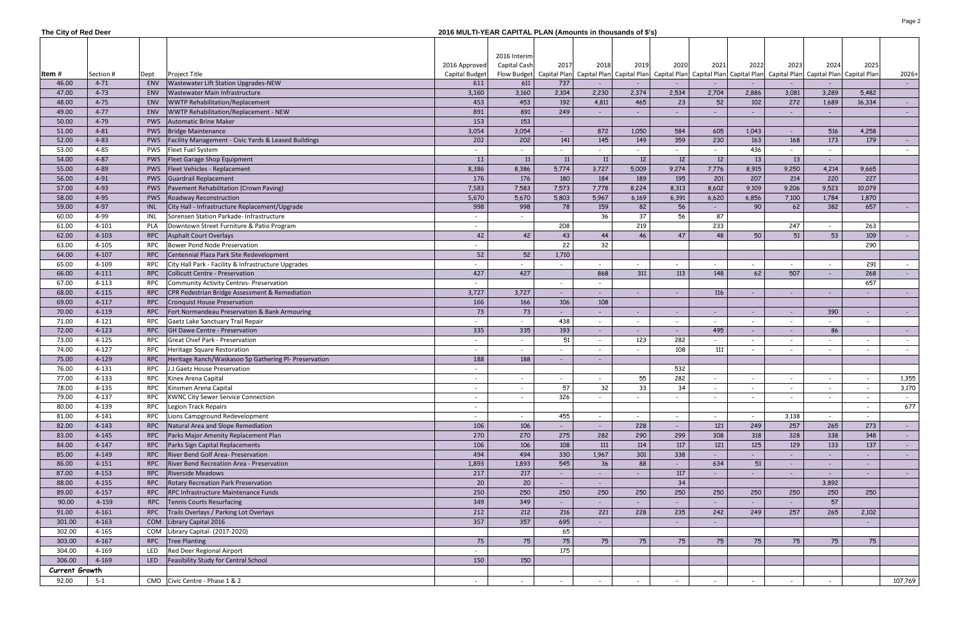| The City of Red Deer |           |            |                                                       | 2016 MULTI-YEAR CAPITAL PLAN (Amounts in thousands of \$'s) |                              |                          |        |                          |                          |                                                                                                                                                                                                                                       |                          |                          |                          |                          |            |
|----------------------|-----------|------------|-------------------------------------------------------|-------------------------------------------------------------|------------------------------|--------------------------|--------|--------------------------|--------------------------|---------------------------------------------------------------------------------------------------------------------------------------------------------------------------------------------------------------------------------------|--------------------------|--------------------------|--------------------------|--------------------------|------------|
| Item #               | Section # | Dept       | <b>Project Title</b>                                  | 2016 Approved<br>Capital Budget                             | 2016 Interim<br>Capital Cash | 2017                     | 2018   | 2019                     | 2020                     | 2021<br>Flow Budget   Capital Plan   Capital Plan   Capital Plan   Capital Plan   Capital Plan   Capital Plan   Capital Plan   Capital Plan   Capital Plan   Capital Plan   Capital Plan   Capital Plan   Capital Plan   Capital Plan | 2022                     | 2023                     | 2024                     | 2025                     | $2026+$    |
| 46.00                | $4 - 71$  | <b>ENV</b> | Wastewater Lift Station Upgrades-NEW                  | 611                                                         | 611                          | 737                      |        |                          |                          |                                                                                                                                                                                                                                       |                          |                          |                          |                          | $\sim 100$ |
| 47.00                | $4 - 73$  | <b>ENV</b> | Wastewater Main Infrastructure                        | 3,160                                                       | 3,160                        | 2,104                    | 2,230  | 2,374                    | 2,534                    | 2,704                                                                                                                                                                                                                                 | 2,886                    | 3,081                    | 3,289                    | 5,482                    |            |
| 48.00                | $4 - 75$  | <b>ENV</b> | WWTP Rehabilitation/Replacement                       | 453                                                         | 453                          | 192                      | 4,811  | 465                      | 23                       | 52                                                                                                                                                                                                                                    | 102                      | 272                      | 1,689                    | 16,334                   | $\sim$ $-$ |
| 49.00                | $4-77$    | <b>ENV</b> | WWTP Rehabilitation/Replacement - NEW                 | 891                                                         | 891                          | 249                      |        |                          |                          |                                                                                                                                                                                                                                       |                          |                          |                          |                          | $\sim 100$ |
| 50.00                | 4-79      | <b>PWS</b> | Automatic Brine Maker                                 | 153                                                         | 153                          |                          |        |                          |                          |                                                                                                                                                                                                                                       |                          |                          |                          |                          |            |
| 51.00                | $4 - 81$  |            | <b>PWS</b> Bridge Maintenance                         | 3,054                                                       | 3,054                        | $\overline{\phantom{a}}$ | 872    | 1,050                    | 584                      | 605                                                                                                                                                                                                                                   | 1,043                    |                          | 516                      | 4,258                    |            |
| 52.00                | $4 - 83$  | <b>PWS</b> | Facility Management - Civic Yards & Leased Buildings  | 202                                                         | 202                          | 141                      | 145    | 149                      | 359                      | 230                                                                                                                                                                                                                                   | 163                      | 168                      | 173                      | 179                      |            |
| 53.00                | 4-85      | PWS        | <b>Fleet Fuel System</b>                              |                                                             |                              |                          |        |                          |                          |                                                                                                                                                                                                                                       | 436                      |                          |                          |                          |            |
| 54.00                | $4 - 87$  | <b>PWS</b> | Fleet Garage Shop Equipment                           | 11                                                          | 11                           | 11                       | 11     | 12                       | 12                       | 12                                                                                                                                                                                                                                    | 13                       | 13                       | $\overline{\phantom{a}}$ |                          |            |
| 55.00                | 4-89      | <b>PWS</b> | Fleet Vehicles - Replacement                          | 8,386                                                       | 8,386                        | 5,774                    | 3,727  | 5,009                    | 9,274                    | 7,776                                                                                                                                                                                                                                 | 8,915                    | 9,250                    | 4,214                    | 9,665                    |            |
| 56.00                | 4-91      | <b>PWS</b> | Guardrail Replacement                                 | 176                                                         | 176                          | 180                      | 184    | 189                      | 195                      | 201                                                                                                                                                                                                                                   | 207                      | 214                      | 220                      | 227                      |            |
| 57.00                | 4-93      | <b>PWS</b> | Pavement Rehabilitation (Crown Paving)                | 7,583                                                       | 7,583                        | 7,573                    | 7,778  | 8,224                    | 8,313                    | 8,602                                                                                                                                                                                                                                 | 9,109                    | 9,206                    | 9,523                    | 10,079                   |            |
| 58.00                | 4-95      | <b>PWS</b> | Roadway Reconstruction                                | 5,670                                                       | 5,670                        | 5,803                    | 5,967  | 6,169                    | 6,391                    | 6,620                                                                                                                                                                                                                                 | 6,856                    | 7,100                    | 1,784                    | 1,870                    |            |
| 59.00                | 4-97      | <b>INL</b> | City Hall - Infrastructure Replacement/Upgrade        | 998                                                         | 998                          | 78                       | 159    | 82                       | 56                       | $\sim$                                                                                                                                                                                                                                | 90                       | 62                       | 382                      | 657                      |            |
| 60.00                | 4-99      | <b>INL</b> | Sorensen Station Parkade- Infrastructure              | $\sim$                                                      |                              |                          | 36     | 37                       | 56                       | 87                                                                                                                                                                                                                                    |                          |                          |                          |                          |            |
| 61.00                | $4 - 101$ | <b>PLA</b> | Downtown Street Furniture & Patio Program             |                                                             |                              | 208                      |        | 219                      |                          | 233                                                                                                                                                                                                                                   |                          | 247                      |                          | 263                      |            |
| 62.00                | $4 - 103$ | RPC        | Asphalt Court Overlays                                | 42                                                          | 42                           | 43                       | 44     | 46                       | 47                       | 48                                                                                                                                                                                                                                    | 50                       | 51                       | 53                       | 109                      | $\sim 100$ |
| 63.00                | 4-105     | <b>RPC</b> | Bower Pond Node Preservation                          |                                                             |                              | 22                       | 32     |                          |                          |                                                                                                                                                                                                                                       |                          |                          |                          | 290                      |            |
| 64.00                | $4 - 107$ | RPC        | Centennial Plaza Park Site Redevelopment              | 52                                                          | 52                           | 1,710                    |        |                          |                          |                                                                                                                                                                                                                                       |                          |                          |                          |                          |            |
| 65.00                | 4-109     | <b>RPC</b> | City Hall Park - Facility & Infrastructure Upgrades   | $\sim$                                                      |                              |                          |        |                          | $\overline{a}$           | $\overline{\phantom{a}}$                                                                                                                                                                                                              |                          |                          |                          | 291                      |            |
| 66.00                | $4 - 111$ | <b>RPC</b> | Collicutt Centre - Preservation                       | 427                                                         | 427                          |                          | 868    | 311                      | 113                      | 148                                                                                                                                                                                                                                   | 62                       | 507                      | $\sim$                   | 268                      | $\sim 100$ |
| 67.00                | $4 - 113$ | <b>RPC</b> | Community Activity Centres- Preservation              | $\sim$                                                      |                              | $\overline{\phantom{a}}$ |        |                          |                          |                                                                                                                                                                                                                                       |                          |                          |                          | 657                      |            |
| 68.00                | $4 - 115$ | <b>RPC</b> | CPR Pedestrian Bridge Assessment & Remediation        | 3,727                                                       | 3,727                        | $\sim$                   |        |                          | $\sim$                   | 116                                                                                                                                                                                                                                   |                          | $\overline{\phantom{a}}$ | $\sim$                   | $\overline{\phantom{a}}$ | $\sim 100$ |
| 69.00                | $4-117$   | <b>RPC</b> | Cronquist House Preservation                          | 166                                                         | 166                          | 106                      | 108    |                          |                          |                                                                                                                                                                                                                                       |                          |                          |                          |                          |            |
| 70.00                | 4-119     | RPC        | Fort Normandeau Preservation & Bank Armouring         | 73                                                          | 73                           | $\overline{\phantom{a}}$ |        | $\overline{\phantom{a}}$ | $\sim$                   | $\sim$                                                                                                                                                                                                                                |                          | $\overline{\phantom{a}}$ | 390                      | $\overline{\phantom{a}}$ | $\sim 100$ |
| 71.00                | $4 - 121$ | <b>RPC</b> | Gaetz Lake Sanctuary Trail Repair                     | $\sim$                                                      | $\sim$                       | 438                      | $\sim$ | $\overline{\phantom{a}}$ | $\sim$                   | $\sim$                                                                                                                                                                                                                                | $\overline{\phantom{a}}$ | $\overline{\phantom{a}}$ | $\overline{\phantom{a}}$ | $\overline{\phantom{a}}$ |            |
| 72.00                | $4 - 123$ | <b>RPC</b> | <b>GH Dawe Centre - Preservation</b>                  | 335                                                         | 335                          | 193                      |        |                          | $\sim$                   | 495                                                                                                                                                                                                                                   |                          | $\overline{\phantom{a}}$ | 86                       |                          | $\sim$ $-$ |
| 73.00                | $4 - 125$ | <b>RPC</b> | <b>Great Chief Park - Preservation</b>                | $\sim$                                                      |                              | 51                       |        | 123                      | 282                      |                                                                                                                                                                                                                                       |                          |                          |                          | $\overline{\phantom{a}}$ |            |
| 74.00                | $4 - 127$ | RPC        | Heritage Square Restoration                           |                                                             |                              | $\overline{\phantom{a}}$ |        |                          | 108                      | 111                                                                                                                                                                                                                                   |                          |                          |                          | $\overline{\phantom{a}}$ |            |
| 75.00                | 4-129     | <b>RPC</b> | Heritage Ranch/Waskasoo Sp Gathering PI- Preservation | 188                                                         | 188                          | $\overline{\phantom{a}}$ |        |                          |                          |                                                                                                                                                                                                                                       |                          |                          |                          |                          |            |
| 76.00                | 4-131     | RPC        | J.J Gaetz House Preservation                          |                                                             |                              |                          |        |                          | 532                      |                                                                                                                                                                                                                                       |                          |                          |                          |                          |            |
| 77.00                | 4-133     |            | RPC Kinex Arena Capital                               |                                                             |                              |                          |        | 55<br>ັບ                 | 282                      |                                                                                                                                                                                                                                       |                          |                          |                          |                          | 1,355      |
| 78.00                | 4-135     | RPC        | Kinsmen Arena Capital                                 | $\sim$                                                      |                              | 57                       | 32     | 33                       | 34                       | $\sim$                                                                                                                                                                                                                                |                          |                          | $\overline{\phantom{a}}$ | $\sim$                   | 3,170      |
| 79.00                | 4-137     |            | RPC   KWNC City Sewer Service Connection              | $\sim$                                                      |                              | 326                      |        |                          | $\sim$                   | $\overline{\phantom{a}}$                                                                                                                                                                                                              |                          |                          |                          | $\overline{\phantom{a}}$ | $\sim$     |
| 80.00                | 4-139     | RPC        | Legion Track Repairs                                  | $\sim$                                                      |                              |                          |        |                          |                          |                                                                                                                                                                                                                                       |                          |                          |                          | $\overline{\phantom{a}}$ | 677        |
| 81.00                | $4 - 141$ | RPC        | Lions Campground Redevelopment                        |                                                             |                              | 455                      |        |                          | $\overline{\phantom{a}}$ |                                                                                                                                                                                                                                       |                          | 3,138                    |                          |                          |            |
| 82.00                | 4-143     | <b>RPC</b> | Natural Area and Slope Remediation                    | 106                                                         | 106                          |                          |        | 228                      | $\sim$                   | 121                                                                                                                                                                                                                                   | 249                      | 257                      | 265                      | 273                      | $\sim$     |
| 83.00                | 4-145     | RPC        | Parks Major Amenity Replacement Plan                  | 270                                                         | 270                          | 275                      | 282    | 290                      | 299                      | 308                                                                                                                                                                                                                                   | 318                      | 328                      | 338                      | 348                      | $\sim$     |
| 84.00                | $4 - 147$ | <b>RPC</b> | Parks Sign Capital Replacements                       | 106                                                         | 106                          | 108                      | 111    | 114                      | 117                      | 121                                                                                                                                                                                                                                   | 125                      | 129                      | 133                      | 137                      | $\sim$     |
| 85.00                | 4-149     | <b>RPC</b> | River Bend Golf Area- Preservation                    | 494                                                         | 494                          | 330                      | 1,967  | 301                      | 338                      |                                                                                                                                                                                                                                       |                          |                          |                          |                          | $\sim$     |
| 86.00                | $4 - 151$ | <b>RPC</b> | River Bend Recreation Area - Preservation             | 1,893                                                       | 1,893                        | 545                      | 36     | 88                       |                          | 634                                                                                                                                                                                                                                   | 51                       |                          |                          |                          |            |
| 87.00                | $4 - 153$ | <b>RPC</b> | Riverside Meadows                                     | 217                                                         | 217                          |                          |        |                          | 117                      |                                                                                                                                                                                                                                       |                          | $\overline{\phantom{a}}$ |                          | $\blacksquare$           | $\sim$     |
| 88.00                | 4-155     | <b>RPC</b> | Rotary Recreation Park Preservation                   | 20                                                          | 20                           | $\overline{\phantom{a}}$ |        |                          | 34                       |                                                                                                                                                                                                                                       |                          |                          | 3,892                    |                          |            |
| 89.00                | $4 - 157$ | <b>RPC</b> | RPC Infrastructure Maintenance Funds                  | 250                                                         | 250                          | 250                      | 250    | 250                      | 250                      | 250                                                                                                                                                                                                                                   | 250                      | 250                      | 250                      | 250                      |            |
| 90.00                | 4-159     | <b>RPC</b> | Tennis Courts Resurfacing                             | 349                                                         | 349                          |                          |        |                          |                          |                                                                                                                                                                                                                                       |                          |                          | 57                       |                          |            |
| 91.00                | 4-161     | <b>RPC</b> | Trails Overlays / Parking Lot Overlays                | 212                                                         | 212                          | 216                      | 221    | 228                      | 235                      | 242                                                                                                                                                                                                                                   | 249                      | 257                      | 265                      | 2,102                    |            |
| 301.00               | 4-163     |            | COM Library Capital 2016                              | 357                                                         | 357                          | 695                      |        |                          |                          |                                                                                                                                                                                                                                       |                          |                          |                          |                          |            |
| 302.00               | $4 - 165$ |            | COM Library Capital- (2017-2020)                      |                                                             |                              | 65                       |        |                          |                          |                                                                                                                                                                                                                                       |                          |                          |                          | $\overline{\phantom{a}}$ |            |
| 303.00               | $4 - 167$ | <b>RPC</b> |                                                       |                                                             |                              | 75                       |        |                          |                          |                                                                                                                                                                                                                                       | 75                       |                          |                          |                          |            |
|                      |           |            | Tree Planting                                         | 75                                                          | 75                           |                          | 75     | 75                       | 75                       | 75                                                                                                                                                                                                                                    |                          | 75                       | 75                       | 75                       |            |
| 304.00               | 4-169     | LED        | Red Deer Regional Airport                             | $\sim$                                                      |                              | 175                      |        |                          |                          |                                                                                                                                                                                                                                       |                          |                          |                          |                          |            |
| 306.00               | 4-169     | <b>LED</b> | Feasibility Study for Central School                  | 150                                                         | 150                          |                          |        |                          |                          |                                                                                                                                                                                                                                       |                          |                          |                          |                          |            |
| Current Growth       |           |            |                                                       |                                                             |                              |                          |        |                          |                          |                                                                                                                                                                                                                                       |                          |                          |                          |                          |            |
| 92.00                | $5 - 1$   |            | CMD Civic Centre - Phase 1 & 2                        | $\sim$                                                      | $\overline{\phantom{a}}$     | $\overline{\phantom{a}}$ |        | $\overline{\phantom{a}}$ | $\sim$                   | $\overline{\phantom{a}}$                                                                                                                                                                                                              | $\overline{\phantom{a}}$ | $\overline{\phantom{a}}$ | $\overline{\phantom{a}}$ |                          | 107,769    |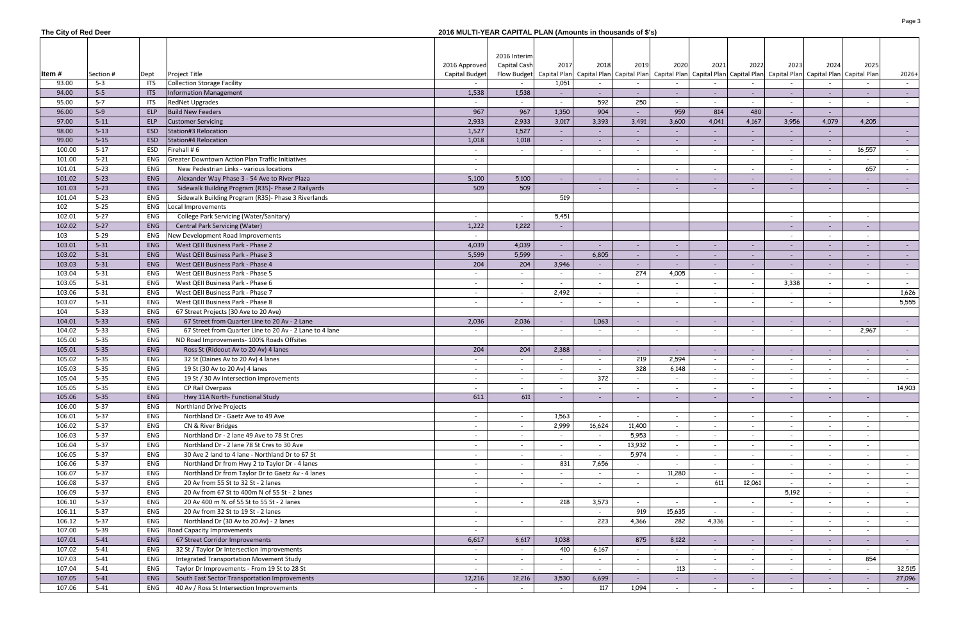| The City of Red Deer |                      |            |                                                                        | 2016 MULTI-YEAR CAPITAL PLAN (Amounts in thousands of \$'s) |                          |                          |                          |                          |                |                          |                          |                                                                                                                                                                                                                               |                          |                          |                  |
|----------------------|----------------------|------------|------------------------------------------------------------------------|-------------------------------------------------------------|--------------------------|--------------------------|--------------------------|--------------------------|----------------|--------------------------|--------------------------|-------------------------------------------------------------------------------------------------------------------------------------------------------------------------------------------------------------------------------|--------------------------|--------------------------|------------------|
|                      |                      |            |                                                                        |                                                             |                          |                          |                          |                          |                |                          |                          |                                                                                                                                                                                                                               |                          |                          |                  |
|                      |                      |            |                                                                        |                                                             | 2016 Interim             |                          |                          |                          |                |                          |                          |                                                                                                                                                                                                                               |                          |                          |                  |
|                      |                      |            |                                                                        | 2016 Approved                                               | Capital Cash             | 2017                     | 2018                     | 2019                     | 2020           | 2021                     | 2022                     | 2023                                                                                                                                                                                                                          | 2024                     | 2025                     |                  |
| ltem #               | Section #            | Dept       | <b>Project Title</b>                                                   | <b>Capital Budget</b>                                       |                          |                          |                          |                          |                |                          |                          | Flow Budget   Capital Plan   Capital Plan   Capital Plan   Capital Plan   Capital Plan   Capital Plan   Capital Plan   Capital Plan   Capital Plan   Capital Plan   Capital Plan   Capital Plan   Capital Plan   Capital Plan |                          |                          | $2026+$          |
| 93.00                | $5 - 3$              | <b>ITS</b> | <b>Collection Storage Facility</b>                                     |                                                             |                          | 1,051                    |                          |                          |                |                          |                          |                                                                                                                                                                                                                               |                          |                          | $\sim$           |
| 94.00                | $5 - 5$              | <b>ITS</b> | Information Management                                                 | 1,538                                                       | 1,538                    | $\sim$                   |                          |                          | $\sim$         | $\overline{\phantom{a}}$ |                          | $\overline{\phantom{a}}$                                                                                                                                                                                                      | $\sim$                   | $\overline{\phantom{a}}$ | $\sim$ 100 $\pm$ |
| 95.00                | $5 - 7$              | <b>ITS</b> | <b>RedNet Upgrades</b>                                                 |                                                             |                          |                          | 592                      | 250                      |                |                          |                          |                                                                                                                                                                                                                               |                          | $\overline{\phantom{a}}$ | $\sim$           |
| 96.00                | $5-9$                | ELP        | <b>Build New Feeders</b>                                               | 967                                                         | 967                      | 1,350                    | 904                      |                          | 959            | 814                      | 480                      | $\overline{\phantom{a}}$                                                                                                                                                                                                      |                          |                          |                  |
| 97.00                | $5 - 11$             | ELP        | <b>Customer Servicing</b>                                              | 2,933                                                       | 2,933                    | 3,017                    | 3,393                    | 3,491                    | 3,600          | 4,041                    | 4,167                    | 3,956                                                                                                                                                                                                                         | 4,079                    | 4,205                    |                  |
| 98.00                | $5 - 13$             | ESD        | Station#3 Relocation                                                   | 1,527                                                       | 1,527                    | $\sim$                   |                          |                          |                |                          |                          | $\overline{\phantom{a}}$                                                                                                                                                                                                      |                          |                          | $\sim$ $-$       |
| 99.00                | $5 - 15$             | <b>ESD</b> | Station#4 Relocation                                                   | 1,018                                                       | 1,018                    | $\sim$                   |                          |                          | $\sim$         | $\overline{\phantom{a}}$ |                          | $\sim$                                                                                                                                                                                                                        |                          |                          | $\sim 100$       |
| 100.00               | $5 - 17$             | ESD        | Firehall # 6                                                           | $\sim$                                                      |                          | $\overline{\phantom{a}}$ |                          | $\overline{\phantom{a}}$ | $\sim$         | $\overline{\phantom{a}}$ |                          | $\overline{\phantom{a}}$                                                                                                                                                                                                      | $\overline{\phantom{a}}$ | 16,557                   | $\sim$           |
| 101.00               | $5 - 21$             | <b>ENG</b> | <b>Greater Downtown Action Plan Traffic Initiatives</b>                | $\sim$                                                      |                          |                          |                          |                          |                |                          |                          | $\overline{\phantom{a}}$                                                                                                                                                                                                      | $\overline{\phantom{a}}$ | $\sim$                   | $\sim$           |
| 101.01               | $5 - 23$             | ENG        | New Pedestrian Links - various locations                               |                                                             |                          |                          |                          |                          | $\sim$         | $\overline{\phantom{a}}$ |                          | $\overline{\phantom{a}}$                                                                                                                                                                                                      |                          | 657                      |                  |
| 101.02               | $5 - 23$             | <b>ENG</b> | Alexander Way Phase 3 - 54 Ave to River Plaza                          | 5,100                                                       | 5,100                    | $\overline{\phantom{a}}$ |                          |                          | $\sim$         | $\sim$                   |                          | $\overline{\phantom{a}}$                                                                                                                                                                                                      |                          | $\overline{\phantom{a}}$ | $\sim$ $-$       |
| 101.03               | $5 - 23$             | <b>ENG</b> | Sidewalk Building Program (R35)- Phase 2 Railyards                     | 509                                                         | 509                      |                          |                          | $\overline{\phantom{a}}$ | $\sim$         | $\overline{\phantom{a}}$ | $\overline{\phantom{a}}$ | $\overline{\phantom{a}}$                                                                                                                                                                                                      |                          | $\overline{\phantom{a}}$ | $\sim 100$       |
| 101.04               | $5 - 23$             | ENG        | Sidewalk Building Program (R35)- Phase 3 Riverlands                    |                                                             |                          | 519                      |                          |                          |                |                          |                          |                                                                                                                                                                                                                               |                          |                          |                  |
| 102                  | $5 - 25$             | ENG        | Local Improvements                                                     |                                                             |                          |                          |                          |                          |                |                          |                          |                                                                                                                                                                                                                               |                          |                          |                  |
| 102.01               | $5 - 27$             | ENG        | College Park Servicing (Water/Sanitary)                                | $\sim$                                                      |                          | 5,451                    |                          |                          |                |                          |                          | $\overline{\phantom{a}}$                                                                                                                                                                                                      | $\overline{\phantom{a}}$ | $\overline{\phantom{a}}$ |                  |
| 102.02               | $5 - 27$             | <b>ENG</b> | <b>Central Park Servicing (Water)</b>                                  | 1,222                                                       | 1,222                    | $\overline{\phantom{a}}$ |                          |                          |                |                          |                          | $\overline{\phantom{a}}$                                                                                                                                                                                                      |                          | $\overline{\phantom{a}}$ |                  |
| 103                  | $5 - 29$             | ENG        | New Development Road Improvements                                      | $\sim$                                                      |                          |                          |                          |                          |                |                          |                          |                                                                                                                                                                                                                               |                          | $\overline{\phantom{a}}$ |                  |
| 103.01               | $5 - 31$             | <b>ENG</b> | West QEII Business Park - Phase 2                                      | 4,039                                                       | 4,039                    | $\blacksquare$           |                          |                          | $\sim$         | $\overline{\phantom{a}}$ |                          | $\overline{\phantom{a}}$<br>$\sim$                                                                                                                                                                                            |                          | $\overline{\phantom{a}}$ |                  |
| 103.02               | $5 - 31$             | <b>ENG</b> | West QEII Business Park - Phase 3                                      | 5,599                                                       | 5,599                    | $\sim$                   | 6,805                    | $\overline{\phantom{a}}$ | $\sim$         | $\overline{\phantom{a}}$ |                          | $\overline{\phantom{a}}$                                                                                                                                                                                                      |                          | $\overline{\phantom{a}}$ | $\sim 100$       |
|                      |                      |            |                                                                        |                                                             |                          |                          |                          |                          |                |                          |                          |                                                                                                                                                                                                                               |                          |                          | $\sim$ 10 $\pm$  |
| 103.03<br>103.04     | $5 - 31$             | ENG<br>ENG | West QEII Business Park - Phase 4<br>West QEII Business Park - Phase 5 | 204                                                         | 204                      | 3,946                    |                          | $\sim$<br>274            | $\sim$         | $\overline{\phantom{a}}$ |                          | $\overline{\phantom{a}}$                                                                                                                                                                                                      |                          | $\overline{\phantom{a}}$ | $\sim$ 10 $\pm$  |
|                      | $5 - 31$<br>$5 - 31$ | ENG        | West QEII Business Park - Phase 6                                      | $\sim$                                                      | $\sim$                   | $\sim$                   | $\sim$                   |                          | 4,005          | $\overline{\phantom{a}}$ | $\overline{\phantom{a}}$ | $\sim$                                                                                                                                                                                                                        | $\overline{\phantom{a}}$ | $\sim$                   | $\sim$           |
| 103.05               |                      |            |                                                                        | $\sim$                                                      | $\sim$                   | $\sim$                   |                          |                          | $\sim$         | $\overline{\phantom{a}}$ |                          | 3,338                                                                                                                                                                                                                         |                          | $\overline{\phantom{a}}$ | $\sim$           |
| 103.06               | $5 - 31$             | ENG        | West QEII Business Park - Phase 7                                      | $\sim$                                                      | $\overline{a}$           | 2,492                    |                          | $\overline{\phantom{a}}$ | $\sim$         | $\overline{\phantom{a}}$ |                          |                                                                                                                                                                                                                               | $\overline{\phantom{a}}$ |                          | 1,626            |
| 103.07               | $5 - 31$             | ENG        | West QEII Business Park - Phase 8                                      |                                                             |                          |                          |                          |                          | $\sim$         |                          |                          | $\overline{\phantom{a}}$                                                                                                                                                                                                      |                          |                          | 5,555            |
| 104                  | $5 - 33$             | ENG        | 67 Street Projects (30 Ave to 20 Ave)                                  |                                                             |                          |                          |                          |                          |                |                          |                          |                                                                                                                                                                                                                               |                          |                          |                  |
| 104.01               | $5 - 33$             | ENG        | 67 Street from Quarter Line to 20 Av - 2 Lane                          | 2,036                                                       | 2,036                    | $\overline{\phantom{a}}$ | 1,063                    |                          | $\sim$         | $\overline{\phantom{a}}$ |                          | $\overline{\phantom{a}}$                                                                                                                                                                                                      | $\sim$                   | $\overline{\phantom{a}}$ | $\sim$ $-$       |
| 104.02               | $5 - 33$             | ENG        | 67 Street from Quarter Line to 20 Av - 2 Lane to 4 lane                |                                                             |                          | $\overline{\phantom{a}}$ |                          |                          | $\overline{a}$ |                          |                          |                                                                                                                                                                                                                               |                          | 2,967                    |                  |
| 105.00               | $5 - 35$             | ENG        | ND Road Improvements- 100% Roads Offsites                              |                                                             |                          |                          |                          |                          |                |                          |                          |                                                                                                                                                                                                                               |                          |                          |                  |
| 105.01               | $5 - 35$             | ENG        | Ross St (Rideout Av to 20 Av) 4 lanes                                  | 204                                                         | 204                      | 2,388                    |                          |                          | $\sim$         |                          |                          |                                                                                                                                                                                                                               |                          | $\overline{\phantom{a}}$ | $\sim$           |
| 105.02               | $5 - 35$             | ENG        | 32 St (Daines Av to 20 Av) 4 lanes                                     |                                                             |                          |                          |                          | 219                      | 2,594          |                          |                          |                                                                                                                                                                                                                               |                          | $\overline{\phantom{a}}$ |                  |
| 105.03               | $5 - 35$             | ENG        | 19 St (30 Av to 20 Av) 4 lanes                                         |                                                             |                          | $\overline{\phantom{a}}$ |                          | 328                      | 6,148          | $\overline{\phantom{a}}$ |                          | $\overline{\phantom{a}}$                                                                                                                                                                                                      |                          | $\overline{\phantom{a}}$ |                  |
| 105.04               | $5 - 35$             | ENG        | 19 St / 30 Av intersection improvements                                |                                                             |                          |                          | 372                      |                          |                |                          |                          |                                                                                                                                                                                                                               |                          |                          |                  |
| 105.05               | $5 - 35$             | ENG        | CP Rail Overpass                                                       |                                                             |                          | $\overline{\phantom{a}}$ |                          |                          | $\sim$         |                          |                          |                                                                                                                                                                                                                               |                          |                          | 14,903           |
| 105.06               | $5 - 35$             | ENG        | Hwy 11A North- Functional Study                                        | 611                                                         | 611                      | $\overline{\phantom{a}}$ |                          | $\overline{\phantom{a}}$ | $\sim$         | $\overline{\phantom{a}}$ |                          | $\overline{\phantom{a}}$                                                                                                                                                                                                      | $\overline{\phantom{a}}$ | $\overline{\phantom{a}}$ |                  |
| 106.00               | $5 - 37$             | ENG        | Northland Drive Projects                                               |                                                             |                          |                          |                          |                          |                |                          |                          |                                                                                                                                                                                                                               |                          |                          |                  |
| 106.01               | $5 - 37$             | ENG        | Northland Dr - Gaetz Ave to 49 Ave                                     | $\sim$                                                      | $\overline{\phantom{a}}$ | 1,563                    |                          |                          | $\sim$         |                          |                          |                                                                                                                                                                                                                               | $\overline{\phantom{a}}$ |                          | $\sim$           |
| 106.02               | $5 - 37$             | ENG        | CN & River Bridges                                                     | $\sim$                                                      | $\overline{a}$           | 2,999                    | 16,624                   | 11,400                   | $\sim$         |                          |                          |                                                                                                                                                                                                                               |                          | $\overline{\phantom{a}}$ |                  |
| 106.03               | $5 - 37$             | ENG        | Northland Dr - 2 lane 49 Ave to 78 St Cres                             | $\sim$                                                      | $\sim$                   |                          |                          | 5,953                    | $\sim$         |                          |                          | $\overline{\phantom{a}}$                                                                                                                                                                                                      | $\overline{\phantom{a}}$ | $\overline{\phantom{a}}$ |                  |
| 106.04               | $5 - 37$             | ENG        | Northland Dr - 2 lane 78 St Cres to 30 Ave                             | $\sim$                                                      | $\sim$                   | $\overline{\phantom{a}}$ | $\overline{\phantom{a}}$ | 13,932                   | $\sim$         | $\overline{\phantom{a}}$ |                          | $\overline{\phantom{a}}$                                                                                                                                                                                                      | $\overline{\phantom{a}}$ | $\overline{\phantom{a}}$ |                  |
| 106.05               | $5 - 37$             | ENG        | 30 Ave 2 land to 4 lane - Northland Dr to 67 St                        | $\sim$                                                      | $\sim$                   | $\overline{\phantom{0}}$ |                          | 5,974                    | $\sim$         | $\overline{\phantom{a}}$ |                          | $\overline{\phantom{a}}$                                                                                                                                                                                                      | $\overline{\phantom{a}}$ | $\overline{\phantom{0}}$ | $\sim$           |
| 106.06               | $5 - 37$             | ENG        | Northland Dr from Hwy 2 to Taylor Dr - 4 lanes                         | $\sim$                                                      | $\sim$                   | 831                      | 7,656                    | $\overline{\phantom{a}}$ | $\overline{a}$ | $\overline{\phantom{a}}$ |                          | $\overline{\phantom{a}}$                                                                                                                                                                                                      | $\overline{\phantom{a}}$ | $\overline{\phantom{a}}$ | $\sim$           |
| 106.07               | $5 - 37$             | ENG        | Northland Dr from Taylor Dr to Gaetz Av - 4 lanes                      | $\sim$ $-$                                                  | $\sim$                   | $\overline{\phantom{a}}$ | $\sim$                   | $\sim$                   | 11,280         | $\sim$                   |                          | $\sim$                                                                                                                                                                                                                        | $\sim$                   | $\sim$                   | $\sim$           |
| 106.08               | $5 - 37$             | ENG        | 20 Av from 55 St to 32 St - 2 lanes                                    | $\sim$                                                      | $\sim$                   | $\overline{\phantom{a}}$ | $\overline{\phantom{a}}$ | $\overline{\phantom{a}}$ | $\sim$         | 611                      | 12,061                   | $\sim$                                                                                                                                                                                                                        | $\sim$                   | $\overline{\phantom{a}}$ | $\sim$           |
| 106.09               | $5 - 37$             | ENG        | 20 Av from 67 St to 400m N of 55 St - 2 lanes                          | $\sim$ $-$                                                  |                          |                          |                          |                          |                |                          |                          | 5,192                                                                                                                                                                                                                         | $\sim$                   | $\overline{\phantom{a}}$ | $\sim$ $-$       |
| 106.10               | $5 - 37$             | ENG        | 20 Av 400 m N. of 55 St to 55 St - 2 lanes                             | $\sim$ $-$                                                  | $\overline{a}$           | 218                      | 3,573                    | $\overline{\phantom{a}}$ | $\sim$         | $\overline{\phantom{a}}$ |                          | $\sim$                                                                                                                                                                                                                        | $\overline{\phantom{a}}$ | $\overline{\phantom{a}}$ | $\sim$ $-$       |
| 106.11               | $5 - 37$             | ENG        | 20 Av from 32 St to 19 St - 2 lanes                                    | $\sim$                                                      |                          |                          |                          | 919                      | 15,635         |                          |                          | $\overline{\phantom{a}}$                                                                                                                                                                                                      | $\overline{\phantom{a}}$ | $\overline{\phantom{a}}$ | $\sim$           |
| 106.12               | $5 - 37$             | ENG        | Northland Dr (30 Av to 20 Av) - 2 lanes                                | $\sim$                                                      | $\overline{a}$           | $\overline{\phantom{a}}$ | 223                      | 4,366                    | 282            | 4,336                    |                          | $\overline{\phantom{a}}$                                                                                                                                                                                                      | $\overline{\phantom{a}}$ | $\overline{\phantom{a}}$ | $\sim$           |
| 107.00               | $5 - 39$             | ENG        | Road Capacity Improvements                                             | $\sim$                                                      |                          |                          |                          |                          |                |                          |                          | $\overline{\phantom{a}}$                                                                                                                                                                                                      |                          | $\overline{\phantom{a}}$ |                  |
| 107.01               | $5 - 41$             | ENG        | 67 Street Corridor Improvements                                        | 6,617                                                       | 6,617                    | 1,038                    |                          | 875                      | 8,122          | $\sim$                   |                          | $\overline{\phantom{a}}$                                                                                                                                                                                                      | $\sim$                   | $\overline{\phantom{a}}$ | $\sim 100$       |
| 107.02               | $5 - 41$             | ENG        | 32 St / Taylor Dr Intersection Improvements                            | $\sim$                                                      |                          | 410                      | 6,167                    | $\overline{\phantom{a}}$ | $\sim$         | $\overline{\phantom{a}}$ |                          | $\overline{\phantom{a}}$                                                                                                                                                                                                      |                          | $\overline{\phantom{a}}$ | $\sim$           |
| 107.03               | $5 - 41$             | ENG        | <b>Integrated Transportation Movement Study</b>                        | $\sim$                                                      | $\sim$                   | $\sim$                   | $\overline{\phantom{a}}$ | $\overline{\phantom{a}}$ | $\sim$         | $\overline{\phantom{a}}$ | $\overline{\phantom{a}}$ | $\sim$                                                                                                                                                                                                                        | $\overline{\phantom{a}}$ | 854                      |                  |
| 107.04               | $5 - 41$             | ENG        | Taylor Dr Improvements - From 19 St to 28 St                           | $\sim$                                                      | $\sim$                   | $\sim$                   | $\overline{\phantom{a}}$ | $\overline{\phantom{a}}$ | 113            | $\overline{\phantom{a}}$ |                          | $\overline{\phantom{a}}$                                                                                                                                                                                                      |                          | $\overline{\phantom{a}}$ | 32,515           |
| 107.05               | $5 - 41$             | ENG        | South East Sector Transportation Improvements                          | 12,216                                                      | 12,216                   | 3,530                    | 6,699                    | $\sim$                   | $\sim$         | $\sim$                   | $\sim$                   | $\sim$                                                                                                                                                                                                                        | $\sim$                   | $\sim$                   | 27,096           |
| 107.06               | $5 - 41$             | ENG        | 40 Av / Ross St Intersection Improvements                              |                                                             |                          | $\sim$                   | 117                      | 1,094                    | $\sim$         | $\sim$                   |                          | $\overline{\phantom{a}}$                                                                                                                                                                                                      |                          | $\sim$                   | $\sim$ $-$       |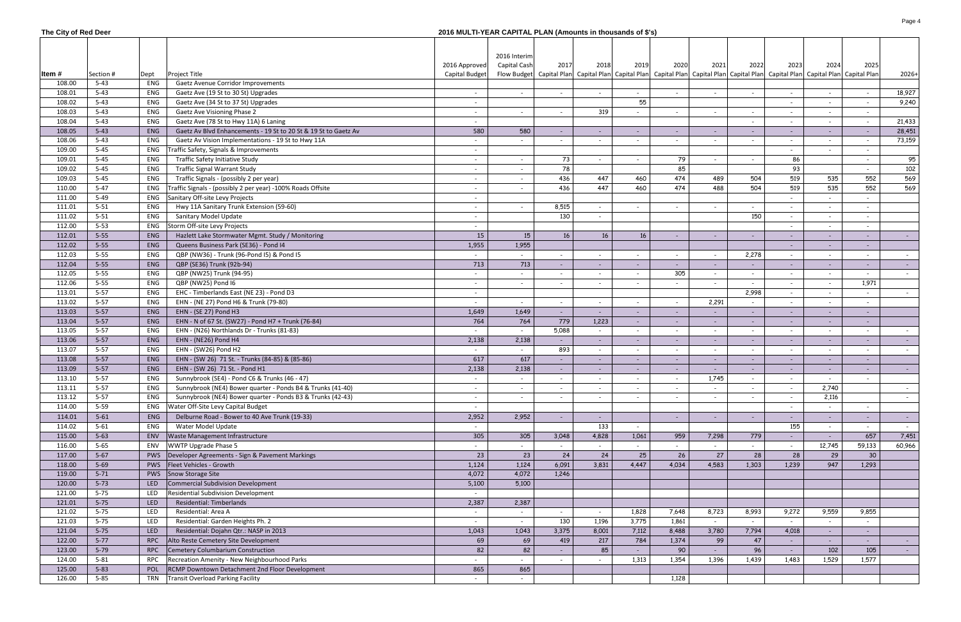|  |  |  |  | The City of Red Deer |
|--|--|--|--|----------------------|
|--|--|--|--|----------------------|

## **The City of Red Deer 2016 MULTI-YEAR CAPITAL PLAN (Amounts in thousands of \$'s)**

|        |           |            |                                                                 |                | 2016 Interim |                          |                          |                          |                          |                          |                                                                                                                                                                                                                               |                          |                |                          |                  |
|--------|-----------|------------|-----------------------------------------------------------------|----------------|--------------|--------------------------|--------------------------|--------------------------|--------------------------|--------------------------|-------------------------------------------------------------------------------------------------------------------------------------------------------------------------------------------------------------------------------|--------------------------|----------------|--------------------------|------------------|
|        |           |            |                                                                 | 2016 Approved  | Capital Cash | 2017                     | 2018                     | 2019                     | 2020                     | 2021                     | 2022                                                                                                                                                                                                                          | 2023                     | 2024           | 2025                     |                  |
| ltem # | Section # | Dept       | <b>Project Title</b>                                            | Capital Budget |              |                          |                          |                          |                          |                          | Flow Budget   Capital Plan   Capital Plan   Capital Plan   Capital Plan   Capital Plan   Capital Plan   Capital Plan   Capital Plan   Capital Plan   Capital Plan   Capital Plan   Capital Plan   Capital Plan   Capital Plan |                          |                |                          | $2026+$          |
| 108.00 | $5 - 43$  | ENG        | Gaetz Avenue Corridor Improvements                              |                |              |                          |                          |                          |                          |                          |                                                                                                                                                                                                                               |                          |                |                          |                  |
| 108.01 | $5 - 43$  | ENG        | Gaetz Ave (19 St to 30 St) Upgrades                             |                |              | $\sim$                   |                          |                          | $\sim$                   | $\overline{\phantom{a}}$ |                                                                                                                                                                                                                               |                          |                |                          | 18,927           |
| 108.02 | $5 - 43$  | ENG        | Gaetz Ave (34 St to 37 St) Upgrades                             |                |              |                          |                          | 55                       |                          |                          |                                                                                                                                                                                                                               | $\overline{\phantom{a}}$ | $\overline{a}$ | $\overline{\phantom{a}}$ | 9,240            |
| 108.03 | $5 - 43$  | ENG        | <b>Gaetz Ave Visioning Phase 2</b>                              |                |              | $\sim$                   | 319                      |                          | $\sim$                   | $\overline{\phantom{a}}$ |                                                                                                                                                                                                                               |                          |                | $\overline{\phantom{a}}$ |                  |
| 108.04 | $5 - 43$  | ENG        | Gaetz Ave (78 St to Hwy 11A) 6 Laning                           |                |              |                          |                          |                          |                          |                          |                                                                                                                                                                                                                               |                          |                | $\overline{\phantom{a}}$ | 21,433           |
| 108.05 | $5 - 43$  | ENG        | Gaetz Av Blvd Enhancements - 19 St to 20 St & 19 St to Gaetz Av | 580            | 580          | $\sim$                   |                          |                          | $\sim$                   | $\sim$                   |                                                                                                                                                                                                                               | $\sim$                   |                | $\sim$                   | 28,451           |
| 108.06 | $5 - 43$  | ENG        | Gaetz Av Vision Implementations - 19 St to Hwy 11A              |                |              | $\sim$                   |                          |                          | $\sim$                   |                          |                                                                                                                                                                                                                               | $\overline{\phantom{a}}$ |                | $\overline{\phantom{a}}$ | 73,159           |
| 109.00 | $5 - 45$  | ENG        | Traffic Safety, Signals & Improvements                          |                |              |                          |                          |                          |                          |                          |                                                                                                                                                                                                                               |                          |                | $\overline{\phantom{a}}$ |                  |
| 109.01 | $5 - 45$  | ENG        | Traffic Safety Initiative Study                                 |                |              | 73                       |                          |                          | 79                       |                          |                                                                                                                                                                                                                               | 86                       |                | $\overline{\phantom{a}}$ | 95               |
| 109.02 | $5 - 45$  | ENG        | <b>Traffic Signal Warrant Study</b>                             |                |              | 78                       |                          |                          | 85                       |                          |                                                                                                                                                                                                                               | 93                       |                |                          | 102              |
| 109.03 | $5 - 45$  | ENG        | Traffic Signals - (possibly 2 per year)                         | $\sim$         |              | 436                      | 447                      | 460                      | 474                      | 489                      | 504                                                                                                                                                                                                                           | 519                      | 535            | 552                      | 569              |
|        | $5 - 47$  |            |                                                                 |                |              |                          | 447                      | 460                      | 474                      | 488                      | 504                                                                                                                                                                                                                           |                          |                | 552                      |                  |
| 110.00 |           | ENG        | Traffic Signals - (possibly 2 per year) -100% Roads Offsite     | $\sim$         |              | 436                      |                          |                          |                          |                          |                                                                                                                                                                                                                               | 519                      | 535            |                          | 569              |
| 111.00 | $5-49$    | ENG        | Sanitary Off-site Levy Projects                                 | $\sim$         |              |                          |                          |                          |                          |                          |                                                                                                                                                                                                                               |                          |                |                          |                  |
| 111.01 | $5 - 51$  | ENG        | Hwy 11A Sanitary Trunk Extension (59-60)                        | $\sim$         |              | 8,515                    |                          |                          | $\sim$                   |                          |                                                                                                                                                                                                                               |                          | $\sim$         |                          |                  |
| 111.02 | $5 - 51$  | ENG        | Sanitary Model Update                                           | $\sim$         |              | 130                      |                          |                          |                          |                          | 150                                                                                                                                                                                                                           |                          |                |                          |                  |
| 112.00 | $5 - 53$  | ENG        | Storm Off-site Levy Projects                                    | $\sim$         |              |                          |                          |                          |                          |                          |                                                                                                                                                                                                                               |                          |                |                          |                  |
| 112.01 | $5 - 55$  | <b>ENG</b> | Hazlett Lake Stormwater Mgmt. Study / Monitoring                | 15             | 15           | 16                       | 16 <sup>1</sup>          | 16                       | $\sim$                   | $\overline{\phantom{a}}$ |                                                                                                                                                                                                                               |                          |                | $\overline{\phantom{a}}$ |                  |
| 112.02 | $5 - 55$  | ENG        | Queens Business Park (SE36) - Pond I4                           | 1,955          | 1,955        |                          |                          |                          |                          |                          |                                                                                                                                                                                                                               |                          |                |                          |                  |
| 112.03 | $5 - 55$  | ENG        | QBP (NW36) - Trunk (96-Pond I5) & Pond I5                       |                |              | $\overline{\phantom{a}}$ |                          |                          | $\sim$                   |                          | 2,278                                                                                                                                                                                                                         |                          |                | $\overline{\phantom{a}}$ |                  |
| 112.04 | $5 - 55$  | ENG        | QBP (SE36) Trunk (92b-94)                                       | 713            | 713          | $\overline{\phantom{a}}$ |                          |                          |                          |                          |                                                                                                                                                                                                                               |                          |                | $\overline{\phantom{a}}$ |                  |
| 112.05 | $5 - 55$  | ENG        | QBP (NW25) Trunk (94-95)                                        |                |              | $\overline{\phantom{a}}$ |                          |                          | 305                      |                          |                                                                                                                                                                                                                               |                          |                |                          |                  |
| 112.06 | $5 - 55$  | ENG        | QBP (NW25) Pond I6                                              | $\sim$         |              | $\overline{\phantom{a}}$ |                          |                          | $\sim$                   | $\overline{\phantom{a}}$ |                                                                                                                                                                                                                               |                          |                | 1,971                    |                  |
| 113.01 | $5 - 57$  | ENG        | EHC - Timberlands East (NE 23) - Pond D3                        | $\sim$         |              |                          |                          |                          |                          |                          | 2,998                                                                                                                                                                                                                         |                          |                |                          |                  |
| 113.02 | $5 - 57$  | ENG        | EHN - (NE 27) Pond H6 & Trunk (79-80)                           | $\sim$         |              | $\overline{\phantom{a}}$ |                          |                          | $\overline{\phantom{a}}$ | 2,291                    |                                                                                                                                                                                                                               |                          |                |                          |                  |
| 113.03 | $5 - 57$  | ENG        | EHN - (SE 27) Pond H3                                           | 1,649          | 1,649        | $\sim$                   |                          |                          |                          |                          |                                                                                                                                                                                                                               |                          |                | $\sim$                   |                  |
| 113.04 | $5 - 57$  | ENG        | EHN - N of 67 St. (SW27) - Pond H7 + Trunk (76-84)              | 764            | 764          | 779                      | 1,223                    | $\overline{\phantom{a}}$ | $\sim$                   | $\overline{\phantom{a}}$ |                                                                                                                                                                                                                               | $\overline{\phantom{a}}$ |                | $\overline{\phantom{a}}$ |                  |
| 113.05 | $5 - 57$  | ENG        | EHN - (N26) Northlands Dr - Trunks (81-83)                      | $\sim$         | $\sim$       | 5,088                    |                          | $\overline{\phantom{a}}$ | $\sim$                   | $\overline{\phantom{a}}$ |                                                                                                                                                                                                                               | $\overline{\phantom{a}}$ |                | $\overline{\phantom{a}}$ |                  |
| 113.06 | $5 - 57$  | ENG        | EHN - (NE26) Pond H4                                            | 2,138          | 2,138        | $\sim$                   |                          | $\overline{\phantom{a}}$ | $\sim$                   | $\overline{\phantom{a}}$ |                                                                                                                                                                                                                               | $\sim$                   | $\sim$         | $\sim$                   |                  |
| 113.07 | $5 - 57$  | ENG        | EHN - (SW26) Pond H2                                            | $\sim$         | $\sim$       | 893                      |                          | $\overline{\phantom{a}}$ | $\sim$                   | $\overline{\phantom{a}}$ |                                                                                                                                                                                                                               | $\overline{\phantom{a}}$ |                | $\overline{\phantom{a}}$ |                  |
| 113.08 | $5 - 57$  | ENG        | EHN - (SW 26) 71 St. - Trunks (84-85) & (85-86)                 | 617            | 617          | $\sim$                   |                          | $\overline{\phantom{a}}$ | $\sim$                   | $\sim$                   |                                                                                                                                                                                                                               | $\sim$                   |                | $\sim$                   |                  |
| 113.09 | $5 - 57$  | <b>ENG</b> | EHN - (SW 26) 71 St. - Pond H1                                  | 2,138          | 2,138        | $\sim$                   |                          | $\overline{\phantom{a}}$ | $\sim$                   | $\overline{\phantom{a}}$ |                                                                                                                                                                                                                               | $\sim$                   |                | $\sim$                   |                  |
| 113.10 | $5 - 57$  | ENG        | Sunnybrook (SE4) - Pond C6 & Trunks (46 - 47)                   | $\sim$         | $\sim$       | $\sim$                   | $\overline{\phantom{a}}$ | $\overline{\phantom{a}}$ | $\sim$                   | 1,745                    | $\overline{\phantom{a}}$                                                                                                                                                                                                      | $\overline{\phantom{a}}$ | $\sim$         | $\overline{\phantom{a}}$ |                  |
| 113.11 | $5-57$    | ENG        | Sunnybrook (NE4) Bower quarter - Ponds B4 & Trunks (41-40)      |                |              |                          |                          |                          |                          |                          |                                                                                                                                                                                                                               |                          | 2.740          |                          |                  |
| 113.12 | $5 - 57$  | ENG        | Sunnybrook (NE4) Bower quarter - Ponds B3 & Trunks (42-43)      | $\sim$         |              | $\overline{\phantom{a}}$ |                          |                          | $\sim$                   | $\overline{\phantom{a}}$ |                                                                                                                                                                                                                               |                          | 2,116          |                          | $\sim$ 100 $\mu$ |
| 114.00 | $5 - 59$  | ENG        | Water Off-Site Levy Capital Budget                              | $\sim$         |              |                          |                          |                          |                          |                          |                                                                                                                                                                                                                               | $\overline{\phantom{a}}$ |                | $\sim$                   |                  |
|        |           |            |                                                                 |                |              |                          |                          |                          |                          |                          |                                                                                                                                                                                                                               |                          |                |                          |                  |
| 114.01 | $5 - 61$  | ENG        | Delburne Road - Bower to 40 Ave Trunk (19-33)                   | 2,952          | 2,952        | $\overline{\phantom{a}}$ | $\overline{\phantom{a}}$ |                          | $\sim$                   | $\overline{\phantom{a}}$ |                                                                                                                                                                                                                               |                          | $\sim$         | $\sim$                   |                  |
| 114.02 | $5 - 61$  | ENG        | Water Model Update                                              |                |              |                          | 133                      | $\overline{\phantom{0}}$ |                          |                          |                                                                                                                                                                                                                               | 155                      | $\sim$         | $\sim$                   | $\sim$ 100 $\mu$ |
| 115.00 | $5 - 63$  | ENV        | Waste Management Infrastructure                                 | 305            | 305          | 3,048                    | 4,828                    | 1,061                    | 959                      | 7,298                    | 779                                                                                                                                                                                                                           |                          | $\sim$         | 657                      | 7,451            |
| 116.00 | $5 - 65$  | <b>ENV</b> | WWTP Upgrade Phase 5                                            |                | $\sim$       |                          |                          |                          | $\sim$                   |                          |                                                                                                                                                                                                                               | $\sim$                   | 12,745         | 59,133                   | 60,966           |
| 117.00 | $5 - 67$  | <b>PWS</b> | Developer Agreements - Sign & Pavement Markings                 | 23             | 23           | 24                       | 24                       | 25                       | 26                       | 27                       | 28                                                                                                                                                                                                                            | 28                       | 29             | 30 <sup>°</sup>          |                  |
| 118.00 | $5 - 69$  | <b>PWS</b> | Fleet Vehicles - Growth                                         | 1,124          | 1,124        | 6,091                    | 3,831                    | 4,447                    | 4,034                    | 4,583                    | 1,303                                                                                                                                                                                                                         | 1,239                    | 947            | 1,293                    |                  |
| 119.00 | $5 - 71$  | PWS        | Snow Storage Site                                               | 4,072          | 4,072        | 1,246                    |                          |                          |                          |                          |                                                                                                                                                                                                                               |                          |                |                          |                  |
| 120.00 | $5 - 73$  | <b>LED</b> | Commercial Subdivision Development                              | 5,100          | 5,100        |                          |                          |                          |                          |                          |                                                                                                                                                                                                                               |                          |                |                          |                  |
| 121.00 | $5 - 75$  | LED        | <b>Residential Subdivision Development</b>                      |                |              |                          |                          |                          |                          |                          |                                                                                                                                                                                                                               |                          |                |                          |                  |
| 121.01 | $5 - 75$  | LED        | Residential: Timberlands                                        | 2,387          | 2,387        |                          |                          |                          |                          |                          |                                                                                                                                                                                                                               |                          |                |                          |                  |
| 121.02 | $5 - 75$  | LED        | Residential: Area A                                             | $\sim$         | $\sim$       | $\sim$                   |                          | 1,828                    | 7,648                    | 8,723                    | 8,993                                                                                                                                                                                                                         | 9,272                    | 9,559          | 9,855                    |                  |
| 121.03 | $5 - 75$  | LED        | Residential: Garden Heights Ph. 2                               |                | $\sim$       | 130                      | 1,196                    | 3,775                    | 1,861                    | $\overline{\phantom{a}}$ |                                                                                                                                                                                                                               |                          | $\sim$         |                          |                  |
| 121.04 | $5 - 75$  | LED        | Residential: Dojahn Qtr.: NASP in 2013                          | 1,043          | 1,043        | 3,375                    | 8,001                    | 7,112                    | 8,488                    | 3,780                    | 7,794                                                                                                                                                                                                                         | 4,018                    | $\sim$         | $\overline{\phantom{a}}$ |                  |
| 122.00 | $5 - 77$  | <b>RPC</b> | Alto Reste Cemetery Site Development                            | 69             | 69           | 419                      | 217                      | 784                      | 1,374                    | 99                       | 47                                                                                                                                                                                                                            | $\sim$                   | $\sim$         | $\overline{\phantom{a}}$ |                  |
| 123.00 | $5 - 79$  | <b>RPC</b> | Cemetery Columbarium Construction                               | 82             | 82           | $\overline{\phantom{a}}$ | 85                       |                          | 90                       | $\overline{\phantom{a}}$ | 96                                                                                                                                                                                                                            | $\sim$                   | 102            | 105                      |                  |
| 124.00 | $5 - 81$  | <b>RPC</b> | Recreation Amenity - New Neighbourhood Parks                    |                |              | $\overline{\phantom{a}}$ |                          | 1,313                    | 1,354                    | 1,396                    | 1,439                                                                                                                                                                                                                         | 1,483                    | 1,529          | 1,577                    |                  |
| 125.00 | $5 - 83$  | POL        | RCMP Downtown Detachment 2nd Floor Development                  | 865            | 865          |                          |                          |                          |                          |                          |                                                                                                                                                                                                                               |                          |                |                          |                  |
| 126.00 | $5 - 85$  | TRN        | Transit Overload Parking Facility                               |                |              |                          |                          |                          | 1,128                    |                          |                                                                                                                                                                                                                               |                          |                |                          |                  |
|        |           |            |                                                                 |                |              |                          |                          |                          |                          |                          |                                                                                                                                                                                                                               |                          |                |                          |                  |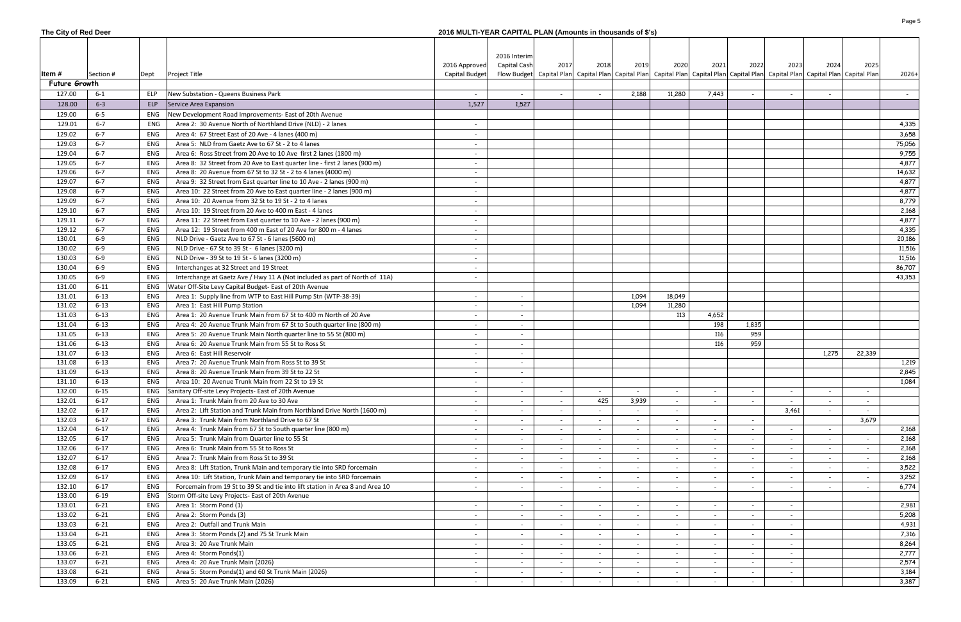## **The City of Red Deer 2016 MULTI-YEAR CAPITAL PLAN (Amounts in thousands of \$'s)**

|                  |                      |            |                                                                                                  |                | 2016 Interim             |                                    |                                                                                                                                                                                                                               |                 |        |                          |                                    |                          |        |        |         |
|------------------|----------------------|------------|--------------------------------------------------------------------------------------------------|----------------|--------------------------|------------------------------------|-------------------------------------------------------------------------------------------------------------------------------------------------------------------------------------------------------------------------------|-----------------|--------|--------------------------|------------------------------------|--------------------------|--------|--------|---------|
|                  |                      |            |                                                                                                  | 2016 Approved  | Capital Cash             | 2017                               | 2018                                                                                                                                                                                                                          | 2019            | 2020   | 2021                     | 2022                               | 2023                     | 2024   | 2025   |         |
| Item #           | Section #            | Dept       | <b>Project Title</b>                                                                             | Capital Budget |                          |                                    | Flow Budget   Capital Plan   Capital Plan   Capital Plan   Capital Plan   Capital Plan   Capital Plan   Capital Plan   Capital Plan   Capital Plan   Capital Plan   Capital Plan   Capital Plan   Capital Plan   Capital Plan |                 |        |                          |                                    |                          |        |        | $2026+$ |
| Future Growth    |                      |            |                                                                                                  |                |                          |                                    |                                                                                                                                                                                                                               |                 |        |                          |                                    |                          |        |        |         |
| 127.00           | $6 - 1$              | ELP        | New Substation - Queens Business Park                                                            | $\sim$         | $\sim$                   |                                    |                                                                                                                                                                                                                               | 2,188           | 11,280 | 7,443                    | $\overline{\phantom{a}}$           |                          | $\sim$ |        | $\sim$  |
| 128.00           | $6 - 3$              | ELP        | Service Area Expansion                                                                           | 1,527          | 1,527                    |                                    |                                                                                                                                                                                                                               |                 |        |                          |                                    |                          |        |        |         |
| 129.00           | $6-5$                | ENG        | New Development Road Improvements- East of 20th Avenue                                           |                |                          |                                    |                                                                                                                                                                                                                               |                 |        |                          |                                    |                          |        |        |         |
| 129.01           | $6 - 7$              | ENG        | Area 2: 30 Avenue North of Northland Drive (NLD) - 2 lanes                                       |                |                          |                                    |                                                                                                                                                                                                                               |                 |        |                          |                                    |                          |        |        | 4,335   |
| 129.02           | $6 - 7$              | ENG        | Area 4: 67 Street East of 20 Ave - 4 lanes (400 m)                                               |                |                          |                                    |                                                                                                                                                                                                                               |                 |        |                          |                                    |                          |        |        | 3,658   |
| 129.03           | $6 - 7$              | ENG        | Area 5: NLD from Gaetz Ave to 67 St - 2 to 4 lanes                                               |                |                          |                                    |                                                                                                                                                                                                                               |                 |        |                          |                                    |                          |        |        | 75,056  |
| 129.04           | $6 - 7$              | ENG        | Area 6: Ross Street from 20 Ave to 10 Ave first 2 lanes (1800 m)                                 |                |                          |                                    |                                                                                                                                                                                                                               |                 |        |                          |                                    |                          |        |        | 9,755   |
| 129.05           | $6 - 7$              | ENG        | Area 8: 32 Street from 20 Ave to East quarter line - first 2 lanes (900 m)                       |                |                          |                                    |                                                                                                                                                                                                                               |                 |        |                          |                                    |                          |        |        | 4,877   |
| 129.06           | $6 - 7$              | ENG        | Area 8: 20 Avenue from 67 St to 32 St - 2 to 4 lanes (4000 m)                                    |                |                          |                                    |                                                                                                                                                                                                                               |                 |        |                          |                                    |                          |        |        | 14,632  |
| 129.07           | $6 - 7$              | ENG        | Area 9: 32 Street from East quarter line to 10 Ave - 2 lanes (900 m)                             | $\sim$         |                          |                                    |                                                                                                                                                                                                                               |                 |        |                          |                                    |                          |        |        | 4,877   |
| 129.08           | $6 - 7$              | ENG        | Area 10: 22 Street from 20 Ave to East quarter line - 2 lanes (900 m)                            | $\sim$         |                          |                                    |                                                                                                                                                                                                                               |                 |        |                          |                                    |                          |        |        | 4,877   |
| 129.09           | $6 - 7$              | ENG        | Area 10: 20 Avenue from 32 St to 19 St - 2 to 4 lanes                                            | $-$            |                          |                                    |                                                                                                                                                                                                                               |                 |        |                          |                                    |                          |        |        | 8,779   |
| 129.10           | $6 - 7$              | ENG        | Area 10: 19 Street from 20 Ave to 400 m East - 4 lanes                                           | $\sim$         |                          |                                    |                                                                                                                                                                                                                               |                 |        |                          |                                    |                          |        |        | 2,168   |
| 129.11           | $6 - 7$              | ENG        | Area 11: 22 Street from East quarter to 10 Ave - 2 lanes (900 m)                                 | $-$            |                          |                                    |                                                                                                                                                                                                                               |                 |        |                          |                                    |                          |        |        | 4,877   |
| 129.12           | $6 - 7$              | ENG        | Area 12: 19 Street from 400 m East of 20 Ave for 800 m - 4 lanes                                 | $\sim$         |                          |                                    |                                                                                                                                                                                                                               |                 |        |                          |                                    |                          |        |        | 4,335   |
| 130.01           | $6-9$                | ENG        | NLD Drive - Gaetz Ave to 67 St - 6 lanes (5600 m)                                                |                |                          |                                    |                                                                                                                                                                                                                               |                 |        |                          |                                    |                          |        |        | 20,186  |
| 130.02           | $6-9$                | ENG        | NLD Drive - 67 St to 39 St - 6 lanes (3200 m)                                                    | $\sim$         |                          |                                    |                                                                                                                                                                                                                               |                 |        |                          |                                    |                          |        |        | 11,516  |
| 130.03           | $6-9$                | ENG        | NLD Drive - 39 St to 19 St - 6 lanes (3200 m)                                                    |                |                          |                                    |                                                                                                                                                                                                                               |                 |        |                          |                                    |                          |        |        | 11,516  |
| 130.04           | $6-9$                | ENG        | Interchanges at 32 Street and 19 Street                                                          |                |                          |                                    |                                                                                                                                                                                                                               |                 |        |                          |                                    |                          |        |        | 86,707  |
| 130.05           | $6-9$                | ENG        | Interchange at Gaetz Ave / Hwy 11 A (Not included as part of North of 11A)                       |                |                          |                                    |                                                                                                                                                                                                                               |                 |        |                          |                                    |                          |        |        | 43,353  |
| 131.00           | $6 - 11$             | ENG        | Water Off-Site Levy Capital Budget- East of 20th Avenue                                          |                |                          |                                    |                                                                                                                                                                                                                               |                 |        |                          |                                    |                          |        |        |         |
| 131.01           | $6 - 13$             | ENG        | Area 1: Supply line from WTP to East Hill Pump Stn (WTP-38-39)                                   |                | $\overline{\phantom{a}}$ |                                    |                                                                                                                                                                                                                               | 1,094           | 18,049 |                          |                                    |                          |        |        |         |
| 131.02           | $6 - 13$             | ENG        | Area 1: East Hill Pump Station                                                                   | $\overline{a}$ | $\overline{\phantom{a}}$ |                                    |                                                                                                                                                                                                                               | 1,094           | 11,280 |                          |                                    |                          |        |        |         |
| 131.03           | $6 - 13$             | ENG        | Area 1: 20 Avenue Trunk Main from 67 St to 400 m North of 20 Ave                                 | $\overline{a}$ | $\overline{\phantom{a}}$ |                                    |                                                                                                                                                                                                                               |                 | 113    | 4,652                    |                                    |                          |        |        |         |
| 131.04           | $6 - 13$             | ENG        | Area 4: 20 Avenue Trunk Main from 67 St to South quarter line (800 m)                            | $\overline{a}$ | $\overline{\phantom{a}}$ |                                    |                                                                                                                                                                                                                               |                 |        | 198                      | 1,835                              |                          |        |        |         |
| 131.05           | $6 - 13$             | ENG        | Area 5: 20 Avenue Trunk Main North quarter line to 55 St (800 m)                                 |                | $\overline{\phantom{a}}$ |                                    |                                                                                                                                                                                                                               |                 |        | 116                      | 959                                |                          |        |        |         |
| 131.06           | $6 - 13$             | ENG        | Area 6: 20 Avenue Trunk Main from 55 St to Ross St                                               |                | $\overline{\phantom{a}}$ |                                    |                                                                                                                                                                                                                               |                 |        | 116                      | 959                                |                          |        |        |         |
| 131.07<br>131.08 | $6 - 13$<br>$6 - 13$ | ENG<br>ENG | Area 6: East Hill Reservoir<br>Area 7: 20 Avenue Trunk Main from Ross St to 39 St                |                | $\overline{\phantom{a}}$ |                                    |                                                                                                                                                                                                                               |                 |        |                          |                                    |                          | 1,275  | 22,339 | 1,219   |
| 131.09           | $6 - 13$             | ENG        | Area 8: 20 Avenue Trunk Main from 39 St to 22 St                                                 |                | $\overline{\phantom{a}}$ |                                    |                                                                                                                                                                                                                               |                 |        |                          |                                    |                          |        |        | 2,845   |
| 131.10           | $6 - 13$             | ENG        | Area 10: 20 Avenue Trunk Main from 22 St to 19 St                                                |                | $\overline{\phantom{a}}$ |                                    |                                                                                                                                                                                                                               |                 |        |                          |                                    |                          |        |        | 1,084   |
| 132.00           | 6-15                 |            |                                                                                                  |                | $\overline{\phantom{a}}$ |                                    |                                                                                                                                                                                                                               |                 |        |                          |                                    |                          |        |        |         |
| 132.01           | $6 - 17$             | ENG        | Sanitary Off-site Levy Projects- East of 20th Avenue<br>Area 1: Trunk Main from 20 Ave to 30 Ave | $\sim$         | $\sim$                   | $\sim$<br>$\overline{\phantom{0}}$ | $\sim$<br>425                                                                                                                                                                                                                 | $\sim$<br>3,939 | $\sim$ | $\sim$                   | $\sim$<br>$\overline{\phantom{a}}$ | $\sim$                   | $\sim$ | $\sim$ |         |
| 132.02           | $6 - 17$             | ENG        | Area 2: Lift Station and Trunk Main from Northland Drive North (1600 m)                          | $\sim$         |                          | $\sim$                             | $\overline{\phantom{a}}$                                                                                                                                                                                                      |                 |        |                          |                                    | 3,461                    | $\sim$ |        |         |
| 132.03           | $6 - 17$             | ENG        | Area 3: Trunk Main from Northland Drive to 67 St                                                 | $-$            | $\overline{\phantom{a}}$ | $\sim$                             | $\overline{\phantom{a}}$                                                                                                                                                                                                      | $\sim$          | $\sim$ | $\sim$                   | $\sim$                             |                          |        | 3,679  |         |
| 132.04           | $6 - 17$             | ENG        | Area 4: Trunk Main from 67 St to South quarter line (800 m)                                      | $\sim$         | $\overline{\phantom{a}}$ | $\sim$                             | $\overline{\phantom{a}}$                                                                                                                                                                                                      | $\sim$          | $\sim$ | $\overline{\phantom{0}}$ | $\overline{\phantom{a}}$           | $\overline{\phantom{a}}$ | $\sim$ |        | 2,168   |
| 132.05           | $6 - 17$             | ENG        | Area 5: Trunk Main from Quarter line to 55 St                                                    | $\sim$         | $\overline{\phantom{a}}$ | $\sim$                             | $\overline{\phantom{a}}$                                                                                                                                                                                                      | $\sim$          | $\sim$ | $\sim$                   | $\sim$                             | $\sim$                   | $\sim$ | $\sim$ | 2,168   |
| 132.06           | $6 - 17$             | ENG        | Area 6: Trunk Main from 55 St to Ross St                                                         | $\sim$         | $\overline{\phantom{a}}$ | $\sim$                             | $\overline{\phantom{0}}$                                                                                                                                                                                                      |                 | $\sim$ | $\sim$                   | $\sim$                             | $\overline{\phantom{a}}$ |        | $\sim$ | 2,168   |
| 132.07           | $6 - 17$             | ENG        | Area 7: Trunk Main from Ross St to 39 St                                                         |                |                          | $\sim$                             | $\overline{\phantom{0}}$                                                                                                                                                                                                      |                 |        |                          | $\overline{\phantom{a}}$           |                          |        | $\sim$ | 2,168   |
| 132.08           | $6 - 17$             | ENG        | Area 8: Lift Station, Trunk Main and temporary tie into SRD forcemain                            | $\sim$         | $\overline{\phantom{a}}$ | $\sim$                             | $\overline{\phantom{a}}$                                                                                                                                                                                                      | $\sim$          | $\sim$ | $\sim$                   | $\sim$                             | $\sim$                   | $\sim$ | $\sim$ | 3,522   |
| 132.09           | $6 - 17$             | ENG        | Area 10: Lift Station, Trunk Main and temporary tie into SRD forcemain                           |                |                          | $\sim$                             |                                                                                                                                                                                                                               |                 |        |                          | $\overline{\phantom{a}}$           |                          |        | $\sim$ | 3,252   |
| 132.10           | $6 - 17$             | ENG        | Forcemain from 19 St to 39 St and tie into lift station in Area 8 and Area 10                    |                |                          | $\sim$                             |                                                                                                                                                                                                                               |                 |        |                          | $\overline{\phantom{a}}$           |                          |        | $\sim$ | 6,774   |
| 133.00           | $6 - 19$             | ENG        | Storm Off-site Levy Projects- East of 20th Avenue                                                |                |                          |                                    |                                                                                                                                                                                                                               |                 |        |                          |                                    |                          |        |        |         |
| 133.01           | $6 - 21$             | ENG        | Area 1: Storm Pond (1)                                                                           | $\sim$         | $\overline{\phantom{a}}$ | $\sim$                             | $\overline{a}$                                                                                                                                                                                                                | $\sim$          | $\sim$ | $\sim$                   | $\overline{\phantom{a}}$           | $\sim$                   |        |        | 2,981   |
| 133.02           | $6 - 21$             | ENG        | Area 2: Storm Ponds (3)                                                                          |                | $\overline{\phantom{a}}$ | $\sim$                             | $\overline{a}$                                                                                                                                                                                                                | $\sim$          | $\sim$ | $\sim$                   | $\sim$                             | $\sim$                   |        |        | 5,208   |
| 133.03           | $6 - 21$             | ENG        | Area 2: Outfall and Trunk Main                                                                   | $\sim$         | $\overline{\phantom{a}}$ | $\sim$                             | $\overline{\phantom{a}}$                                                                                                                                                                                                      |                 | $\sim$ | $\sim$                   | $\overline{\phantom{a}}$           |                          |        |        | 4,931   |
| 133.04           | $6 - 21$             | ENG        | Area 3: Storm Ponds (2) and 75 St Trunk Main                                                     |                | $\overline{\phantom{a}}$ | $\sim$                             | $\overline{a}$                                                                                                                                                                                                                | $\sim$          | $\sim$ | $\sim$                   | $\overline{\phantom{a}}$           | $\overline{a}$           |        |        | 7,316   |
| 133.05           | $6 - 21$             | ENG        | Area 3: 20 Ave Trunk Main                                                                        |                |                          | $\sim$                             |                                                                                                                                                                                                                               |                 |        | $\overline{\phantom{a}}$ | $\overline{\phantom{a}}$           |                          |        |        | 8,264   |
| 133.06           | $6 - 21$             | ENG        | Area 4: Storm Ponds(1)                                                                           |                |                          | $\sim$                             |                                                                                                                                                                                                                               |                 | $\sim$ | $\overline{\phantom{a}}$ | $\overline{\phantom{a}}$           |                          |        |        | 2,777   |
| 133.07           | $6 - 21$             | ENG        | Area 4: 20 Ave Trunk Main (2026)                                                                 |                |                          | $\overline{\phantom{0}}$           |                                                                                                                                                                                                                               |                 |        |                          | $\overline{\phantom{a}}$           |                          |        |        | 2,574   |
| 133.08           | $6 - 21$             | ENG        | Area 5: Storm Ponds(1) and 60 St Trunk Main (2026)                                               |                |                          | $\sim$                             |                                                                                                                                                                                                                               |                 |        | $\overline{\phantom{a}}$ | $\overline{\phantom{a}}$           |                          |        |        | 3,184   |
| 133.09           | $6 - 21$             | ENG        | Area 5: 20 Ave Trunk Main (2026)                                                                 |                |                          | $\sim$                             |                                                                                                                                                                                                                               |                 |        |                          | $\overline{\phantom{a}}$           |                          |        |        | 3,387   |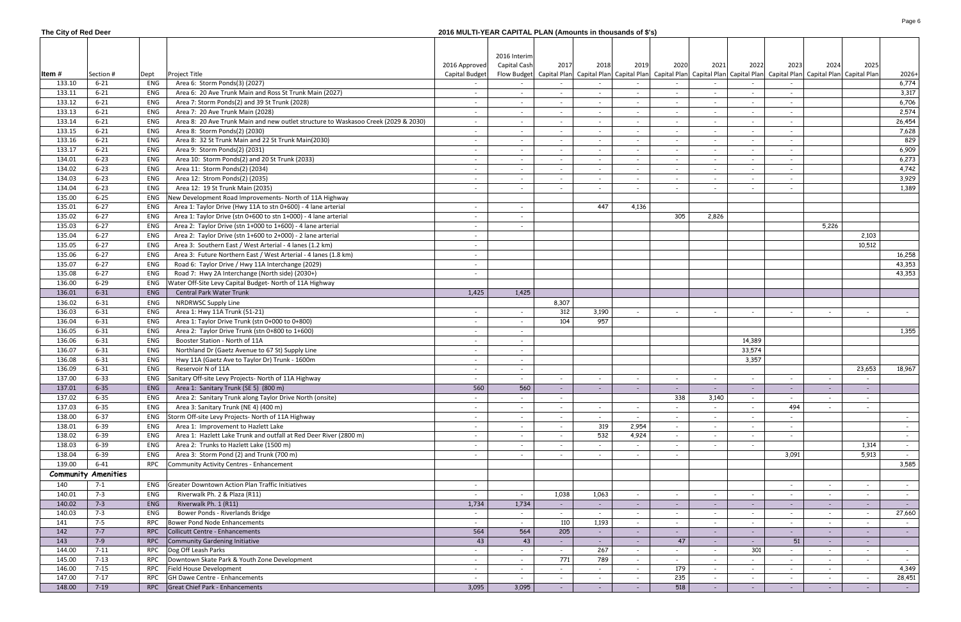## **The City of Red Deer 2016 MULTI-YEAR CAPITAL PLAN (Amounts in thousands of \$'s)**

|        |                            |            |                                                                                    |                | 2016 Interim             |                          |                          |                          |                          |                          |                          |                                                                                                                                                                                                                               |                          |            |
|--------|----------------------------|------------|------------------------------------------------------------------------------------|----------------|--------------------------|--------------------------|--------------------------|--------------------------|--------------------------|--------------------------|--------------------------|-------------------------------------------------------------------------------------------------------------------------------------------------------------------------------------------------------------------------------|--------------------------|------------|
|        |                            |            |                                                                                    | 2016 Approved  | Capital Cash             | 2017                     | 2018                     | 2019                     | 2020                     | 2021                     | 2022                     | 2023<br>2024                                                                                                                                                                                                                  | 2025                     |            |
| Item # | Section #                  | Dept       | Project Title                                                                      | Capital Budget |                          |                          |                          |                          |                          |                          |                          | Flow Budget   Capital Plan   Capital Plan   Capital Plan   Capital Plan   Capital Plan   Capital Plan   Capital Plan   Capital Plan   Capital Plan   Capital Plan   Capital Plan   Capital Plan   Capital Plan   Capital Plan |                          | $2026+$    |
| 133.10 | $6 - 21$                   | ENG        | Area 6: Storm Ponds(3) (2027)                                                      |                |                          |                          |                          |                          |                          |                          |                          |                                                                                                                                                                                                                               |                          | 6,774      |
| 133.11 | $6 - 21$                   | ENG        | Area 6: 20 Ave Trunk Main and Ross St Trunk Main (2027)                            |                |                          |                          |                          |                          | $\sim$                   |                          |                          | $\overline{\phantom{a}}$                                                                                                                                                                                                      |                          | 3,317      |
| 133.12 | $6 - 21$                   | ENG        | Area 7: Storm Ponds(2) and 39 St Trunk (2028)                                      |                |                          | $\overline{\phantom{a}}$ |                          |                          | $\overline{\phantom{a}}$ |                          |                          | $\overline{\phantom{a}}$                                                                                                                                                                                                      |                          | 6,706      |
| 133.13 | $6 - 21$                   | ENG        | Area 7: 20 Ave Trunk Main (2028)                                                   |                |                          | $\overline{\phantom{a}}$ |                          |                          | $\sim$                   |                          |                          | $\overline{\phantom{a}}$                                                                                                                                                                                                      |                          | 2,574      |
| 133.14 | $6 - 21$                   | ENG        | Area 8: 20 Ave Trunk Main and new outlet structure to Waskasoo Creek (2029 & 2030) | $\sim$         |                          | $\overline{\phantom{a}}$ |                          |                          | $\overline{\phantom{a}}$ |                          |                          | $\overline{\phantom{a}}$                                                                                                                                                                                                      |                          | 26,454     |
| 133.15 | $6 - 21$                   | ENG        | Area 8: Storm Ponds(2) (2030)                                                      |                |                          | $\overline{\phantom{a}}$ |                          |                          | $\sim$                   |                          |                          | $\overline{\phantom{a}}$                                                                                                                                                                                                      |                          | 7,628      |
| 133.16 | $6 - 21$                   | ENG        | Area 8: 32 St Trunk Main and 22 St Trunk Main(2030)                                |                |                          | $\overline{\phantom{a}}$ |                          |                          | $\sim$                   |                          |                          | $\overline{\phantom{a}}$                                                                                                                                                                                                      |                          | 829        |
| 133.17 | $6 - 21$                   | ENG        | Area 9: Storm Ponds(2) (2031)                                                      | $\sim$         |                          | $\overline{\phantom{a}}$ |                          |                          | $\sim$                   |                          |                          | $\overline{\phantom{a}}$                                                                                                                                                                                                      |                          | 6,909      |
| 134.01 | $6 - 23$                   | ENG        | Area 10: Storm Ponds(2) and 20 St Trunk (2033)                                     | $\sim$         | $\overline{\phantom{0}}$ | $\overline{\phantom{a}}$ |                          |                          | $\sim$                   | $\overline{\phantom{a}}$ |                          | $\overline{\phantom{a}}$                                                                                                                                                                                                      |                          | 6,273      |
| 134.02 | $6 - 23$                   | ENG        | Area 11: Storm Ponds(2) (2034)                                                     |                |                          | $\overline{\phantom{a}}$ |                          |                          | $\sim$                   |                          |                          | $\overline{\phantom{a}}$                                                                                                                                                                                                      |                          | 4,742      |
| 134.03 | $6 - 23$                   | ENG        | Area 12: Strom Ponds(2) (2035)                                                     | $\sim$         |                          | $\overline{\phantom{a}}$ |                          |                          | $\sim$                   |                          |                          | $\overline{\phantom{a}}$                                                                                                                                                                                                      |                          | 3,929      |
| 134.04 | $6 - 23$                   | ENG        | Area 12: 19 St Trunk Main (2035)                                                   |                |                          |                          |                          |                          | $\overline{\phantom{a}}$ |                          |                          |                                                                                                                                                                                                                               |                          | 1,389      |
| 135.00 | $6 - 25$                   | ENG        | New Development Road Improvements- North of 11A Highway                            |                |                          |                          |                          |                          |                          |                          |                          |                                                                                                                                                                                                                               |                          |            |
| 135.01 | $6 - 27$                   | ENG        | Area 1: Taylor Drive (Hwy 11A to stn 0+600) - 4 lane arterial                      | $\sim$         |                          |                          | 447                      | 4,136                    |                          |                          |                          |                                                                                                                                                                                                                               |                          |            |
| 135.02 | $6 - 27$                   | ENG        | Area 1: Taylor Drive (stn 0+600 to stn 1+000) - 4 lane arterial                    |                |                          |                          |                          |                          | 305                      | 2,826                    |                          |                                                                                                                                                                                                                               |                          |            |
| 135.03 | $6 - 27$                   | ENG        | Area 2: Taylor Drive (stn $1+000$ to $1+600$ ) - 4 lane arterial                   | $\sim$         |                          |                          |                          |                          |                          |                          |                          | 5,226                                                                                                                                                                                                                         |                          |            |
|        |                            |            |                                                                                    |                |                          |                          |                          |                          |                          |                          |                          |                                                                                                                                                                                                                               |                          |            |
| 135.04 | $6 - 27$                   | ENG        | Area 2: Taylor Drive (stn 1+600 to 2+000) - 2 lane arterial                        | $\sim$         |                          |                          |                          |                          |                          |                          |                          |                                                                                                                                                                                                                               | 2,103                    |            |
| 135.05 | $6 - 27$                   | ENG        | Area 3: Southern East / West Arterial - 4 lanes (1.2 km)                           | $\sim$         |                          |                          |                          |                          |                          |                          |                          |                                                                                                                                                                                                                               | 10,512                   |            |
| 135.06 | $6 - 27$                   | ENG        | Area 3: Future Northern East / West Arterial - 4 lanes (1.8 km)                    | $\sim$         |                          |                          |                          |                          |                          |                          |                          |                                                                                                                                                                                                                               |                          | 16,258     |
| 135.07 | $6 - 27$                   | ENG        | Road 6: Taylor Drive / Hwy 11A Interchange (2029)                                  | $\sim$         |                          |                          |                          |                          |                          |                          |                          |                                                                                                                                                                                                                               |                          | 43,353     |
| 135.08 | $6 - 27$                   | ENG        | Road 7: Hwy 2A Interchange (North side) (2030+)                                    | $\sim$         |                          |                          |                          |                          |                          |                          |                          |                                                                                                                                                                                                                               |                          | 43,353     |
| 136.00 | $6 - 29$                   | ENG        | Water Off-Site Levy Capital Budget- North of 11A Highway                           |                |                          |                          |                          |                          |                          |                          |                          |                                                                                                                                                                                                                               |                          |            |
| 136.01 | $6 - 31$                   | ENG        | Central Park Water Trunk                                                           | 1,425          | 1,425                    |                          |                          |                          |                          |                          |                          |                                                                                                                                                                                                                               |                          |            |
| 136.02 | $6 - 31$                   | ENG        | <b>NRDRWSC Supply Line</b>                                                         |                |                          | 8,307                    |                          |                          |                          |                          |                          |                                                                                                                                                                                                                               |                          |            |
| 136.03 | $6 - 31$                   | ENG        | Area 1: Hwy 11A Trunk (51-21)                                                      | $\sim$         |                          | 312                      | 3,190                    |                          | $\overline{\phantom{a}}$ | $\overline{\phantom{a}}$ |                          | $\overline{\phantom{a}}$<br>$\overline{\phantom{a}}$                                                                                                                                                                          | $\overline{\phantom{a}}$ | $\sim$     |
| 136.04 | $6 - 31$                   | ENG        | Area 1: Taylor Drive Trunk (stn 0+000 to 0+800)                                    | $\sim$         |                          | 104                      | 957                      |                          |                          |                          |                          |                                                                                                                                                                                                                               |                          |            |
| 136.05 | $6 - 31$                   | ENG        | Area 2: Taylor Drive Trunk (stn 0+800 to 1+600)                                    |                |                          |                          |                          |                          |                          |                          |                          |                                                                                                                                                                                                                               |                          | 1,355      |
| 136.06 | $6 - 31$                   | ENG        | Booster Station - North of 11A                                                     |                |                          |                          |                          |                          |                          |                          | 14,389                   |                                                                                                                                                                                                                               |                          |            |
| 136.07 | $6 - 31$                   | ENG        | Northland Dr (Gaetz Avenue to 67 St) Supply Line                                   | $\sim$         | $\overline{\phantom{0}}$ |                          |                          |                          |                          |                          | 33,574                   |                                                                                                                                                                                                                               |                          |            |
| 136.08 | $6 - 31$                   | ENG        | Hwy 11A (Gaetz Ave to Taylor Dr) Trunk - 1600m                                     |                | $\overline{\phantom{0}}$ |                          |                          |                          |                          |                          | 3,357                    |                                                                                                                                                                                                                               |                          |            |
| 136.09 | $6 - 31$                   | ENG        | Reservoir N of 11A                                                                 | $\sim$         | $\sim$                   |                          |                          |                          |                          |                          |                          |                                                                                                                                                                                                                               | 23,653                   | 18,967     |
| 137.00 | $6 - 33$                   | ENG        | Sanitary Off-site Levy Projects- North of 11A Highway                              | $\sim$         | $\sim$                   | $\sim$                   | $\overline{\phantom{a}}$ | $\overline{\phantom{a}}$ | $\sim$                   | $\overline{\phantom{a}}$ | $\overline{\phantom{a}}$ | $\overline{\phantom{a}}$<br>$\sim$                                                                                                                                                                                            | $\overline{\phantom{a}}$ |            |
| 137.01 | $6 - 35$                   | ENG        | Area 1: Sanitary Trunk (SE 5) (800 m)                                              | 560            | 560                      | $\overline{\phantom{a}}$ |                          |                          |                          | $\sim$                   | $\overline{\phantom{a}}$ | $\overline{\phantom{a}}$                                                                                                                                                                                                      |                          |            |
| 137.02 | $6 - 35$                   | ENG        | Area 2: Sanitary Trunk along Taylor Drive North (onsite)                           | $\sim$         | $\overline{\phantom{0}}$ | $\overline{\phantom{a}}$ |                          |                          | 338                      | 3,140                    | $\overline{\phantom{a}}$ | $\overline{\phantom{a}}$<br>$\overline{\phantom{a}}$                                                                                                                                                                          | $\overline{\phantom{a}}$ |            |
| 137.03 | $6 - 35$                   | ENG        | Area 3: Sanitary Trunk (NE 4) (400 m)                                              | $\sim$         | $\sim$                   | $\sim$                   | $\overline{\phantom{a}}$ | $\overline{\phantom{a}}$ | $\sim$                   |                          |                          | 494                                                                                                                                                                                                                           | $\sim$                   |            |
| 138.00 | $6 - 37$                   | ENG        | Storm Off-site Levy Projects- North of 11A Highway                                 | $\sim$         |                          | $\sim$                   |                          |                          | $\sim$                   | $\overline{\phantom{a}}$ |                          |                                                                                                                                                                                                                               |                          | $\sim$     |
| 138.01 | $6 - 39$                   | ENG        | Area 1: Improvement to Hazlett Lake                                                | $\sim$         | $\sim$                   | $\sim$                   | 319                      | 2,954                    | $\sim$                   | $\overline{\phantom{a}}$ | $\overline{\phantom{a}}$ | $\sim$                                                                                                                                                                                                                        |                          | $\sim$     |
| 138.02 | $6 - 39$                   | ENG        | Area 1: Hazlett Lake Trunk and outfall at Red Deer River (2800 m)                  | $\sim$         |                          | $\overline{\phantom{a}}$ | 532                      | 4,924                    | $\sim$                   | $\overline{\phantom{a}}$ |                          | $\overline{\phantom{a}}$                                                                                                                                                                                                      |                          |            |
| 138.03 | $6 - 39$                   | ENG        | Area 2: Trunks to Hazlett Lake (1500 m)                                            | $\sim$         |                          | $\overline{\phantom{a}}$ |                          |                          | $\sim$                   |                          |                          |                                                                                                                                                                                                                               | 1,314                    | $\sim$     |
| 138.04 | $6 - 39$                   | ENG        | Area 3: Storm Pond (2) and Trunk (700 m)                                           |                |                          | $\overline{\phantom{a}}$ |                          |                          | $\overline{\phantom{a}}$ |                          |                          | 3,091                                                                                                                                                                                                                         | 5,913                    | $\sim$     |
| 139.00 | $6 - 41$                   | RPC        | Community Activity Centres - Enhancement                                           |                |                          |                          |                          |                          |                          |                          |                          |                                                                                                                                                                                                                               |                          | 3,585      |
|        | <b>Community Amenities</b> |            |                                                                                    |                |                          |                          |                          |                          |                          |                          |                          |                                                                                                                                                                                                                               |                          |            |
| 140    | $7-1$                      | ENG        | Greater Downtown Action Plan Traffic Initiatives                                   | $\sim$         |                          |                          |                          |                          |                          |                          |                          | $\overline{a}$                                                                                                                                                                                                                |                          |            |
| 140.01 | $7 - 3$                    | ENG        |                                                                                    |                |                          | 1,038                    | 1,063                    |                          |                          |                          |                          | $\overline{\phantom{a}}$                                                                                                                                                                                                      | $\overline{\phantom{a}}$ | $\sim$     |
|        | $7 - 3$                    |            | Riverwalk Ph. 2 & Plaza (R11)                                                      |                |                          |                          |                          |                          | $\sim$                   |                          |                          | $\overline{\phantom{a}}$                                                                                                                                                                                                      | $\overline{\phantom{a}}$ |            |
| 140.02 |                            | ENG<br>ENG | Riverwalk Ph. 1 (R11)<br>Bower Ponds - Riverlands Bridge                           | 1,734          | 1,734                    | $\overline{\phantom{a}}$ |                          |                          | $\sim$                   |                          |                          | $\overline{\phantom{a}}$                                                                                                                                                                                                      | $\overline{\phantom{a}}$ | $\sim$ $-$ |
| 140.03 | $7 - 3$                    |            |                                                                                    | $\sim$         | $\sim$                   | $\overline{\phantom{a}}$ |                          | $\overline{\phantom{a}}$ | $\sim$                   | $\overline{\phantom{a}}$ | $\overline{\phantom{a}}$ | $\overline{\phantom{a}}$<br>$\overline{\phantom{a}}$                                                                                                                                                                          | $\overline{\phantom{a}}$ | 27,660     |
| 141    | $7 - 5$                    | RPC        | Bower Pond Node Enhancements                                                       | $\sim$         | $\sim$                   | 110                      | 1,193                    |                          | $\sim$                   | $\overline{\phantom{a}}$ | $\overline{\phantom{a}}$ | $\overline{\phantom{a}}$<br>$\overline{\phantom{a}}$                                                                                                                                                                          | $\overline{\phantom{a}}$ | $\sim$     |
| 142    | $7 - 7$                    | <b>RPC</b> | Collicutt Centre - Enhancements                                                    | 564            | 564                      | 205                      |                          |                          | $\sim$                   | $\sim$                   |                          | $\sim$<br>$\sim$                                                                                                                                                                                                              | $\overline{\phantom{a}}$ | $\sim$ $-$ |
| 143    | $7-9$                      | <b>RPC</b> | Community Gardening Initiative                                                     | 43             | 43                       | $\overline{\phantom{a}}$ |                          |                          | 47                       | $\overline{\phantom{a}}$ |                          | 51<br>$\sim$                                                                                                                                                                                                                  | $\overline{\phantom{a}}$ |            |
| 144.00 | $7 - 11$                   | RPC        | Dog Off Leash Parks                                                                |                |                          | $\overline{\phantom{a}}$ | 267                      |                          | $\sim$                   | $\overline{\phantom{a}}$ | 301                      |                                                                                                                                                                                                                               | $\overline{\phantom{a}}$ | $\sim$     |
| 145.00 | $7 - 13$                   | <b>RPC</b> | Downtown Skate Park & Youth Zone Development                                       | $\sim$         |                          | 771                      | 789                      |                          | $\sim$                   |                          |                          | $\overline{\phantom{a}}$<br>$\overline{\phantom{a}}$                                                                                                                                                                          | $\overline{\phantom{a}}$ |            |
| 146.00 | $7 - 15$                   | RPC        | Field House Development                                                            | $\sim$         |                          | $\overline{\phantom{a}}$ |                          |                          | 179                      |                          |                          |                                                                                                                                                                                                                               |                          | 4,349      |
| 147.00 | $7 - 17$                   | RPC        | GH Dawe Centre - Enhancements                                                      |                |                          | $\overline{\phantom{a}}$ |                          |                          | 235                      |                          |                          | $\overline{\phantom{a}}$                                                                                                                                                                                                      |                          | 28,451     |
| 148.00 | $7-19$                     |            | RPC Great Chief Park - Enhancements                                                | 3,095          | 3,095                    | $\sim$                   |                          | $\overline{\phantom{a}}$ | 518                      | $\overline{\phantom{a}}$ | $\overline{\phantom{a}}$ | $\sim$<br>$\sim$                                                                                                                                                                                                              | $\sim$                   |            |